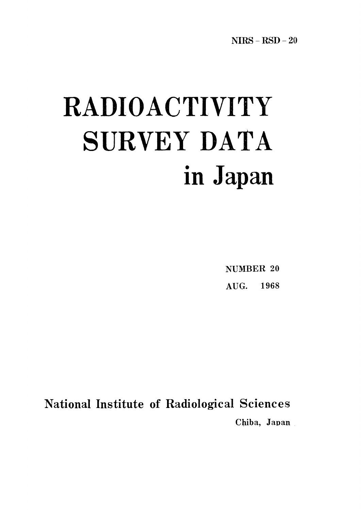# RADIOACTIVIT SURVEY DATA in Japan

NUMBER 20 AUG. 1968

**National Institute of Radiological Sciences** Chiba, Japan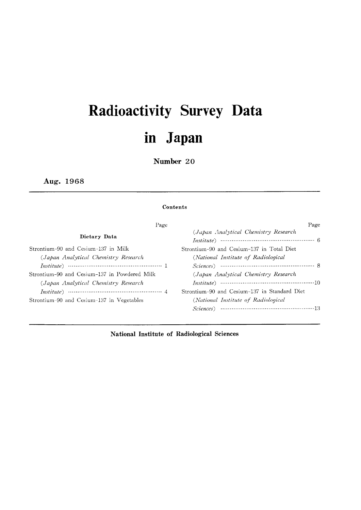## Radioactivity Survey Dat in Japan

Number 20

Aug.1968

#### Contents

| Page                                         | Page                                                                                                                                                                                                                                                                                                                                           |
|----------------------------------------------|------------------------------------------------------------------------------------------------------------------------------------------------------------------------------------------------------------------------------------------------------------------------------------------------------------------------------------------------|
| Dietary Data                                 | (Japan Analytical Chemistry Research                                                                                                                                                                                                                                                                                                           |
| Strontium-90 and Cesium-137 in Milk          | Strontium-90 and Cesium-137 in Total Diet                                                                                                                                                                                                                                                                                                      |
| (Japan Analytical Chemistry Research         | (National Institute of Radiological                                                                                                                                                                                                                                                                                                            |
|                                              | $Science$ $\longrightarrow$ 8                                                                                                                                                                                                                                                                                                                  |
| Strontium–90 and Cesium–137 in Powdered Milk | (Japan Analytical Chemistry Research                                                                                                                                                                                                                                                                                                           |
| (Japan Analytical Chemistry Research         |                                                                                                                                                                                                                                                                                                                                                |
|                                              | Strontium-90 and Cesium-137 in Standard Diet                                                                                                                                                                                                                                                                                                   |
| Strontium-90 and Cesium-137 in Vegetables    | (National Institute of Radiological                                                                                                                                                                                                                                                                                                            |
|                                              | $Sciences$ $\cdots$ $\cdots$ $\cdots$ $\cdots$ $\cdots$ $\cdots$ $\cdots$ $\cdots$ $\cdots$ $\cdots$ $\cdots$ $\cdots$ $\cdots$ $\cdots$ $\cdots$ $\cdots$ $\cdots$ $\cdots$ $\cdots$ $\cdots$ $\cdots$ $\cdots$ $\cdots$ $\cdots$ $\cdots$ $\cdots$ $\cdots$ $\cdots$ $\cdots$ $\cdots$ $\cdots$ $\cdots$ $\cdots$ $\cdots$ $\cdots$ $\cdots$ |

National Institute of Radiological Sciences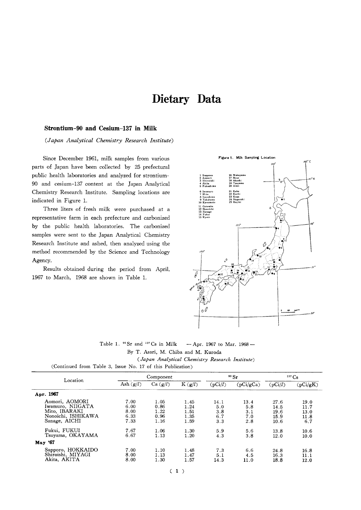### Dietary Data

#### Strontium-90 and Cesium-137 in Milk

(Japan Analytical Chemistry Research Institute)

Since December 1961, milk samples from various parts of Japan have been collected by 25 prefectural public health laboratories and analyzed for strontium-90 and cesium-137 content at the Japan Analytical Chemistry Research Institute. Sampling locations are indicated in Figure 1.

Three liters of fresh milk were purchased at a representative farm in each prefecture and carbonized by the public health laboratories. The carbonized samples were sent to the Japan Analytical Chemistry Research Institute and ashed, then analyzed using the method recommended by the Science and Technology Agency.

Results obtained during the period from April, 1967 to March, 1968 are shown in Table 1.



Table 1. <sup>90</sup> Sr and <sup>137</sup> Cs in Milk  $-$  Apr. 1967 to Mar. 1968  $-$ 

By T. Asari, M. Chiba and M. Kuroda

(Japan Analytical Chemistry Research Institute)

| Location                                                                                   |                                      | Component                            |                                      |                                  | $\rm{^{90}Sr}$                   | $137 \text{Cs}$                      |                                     |
|--------------------------------------------------------------------------------------------|--------------------------------------|--------------------------------------|--------------------------------------|----------------------------------|----------------------------------|--------------------------------------|-------------------------------------|
|                                                                                            | Ash $(g/l)$                          | Ca(g/l)                              | $K$ (g/l)                            | (pCi/l)                          | (pCi/gCa)                        | (pCi/l)                              | (pCi/gK)                            |
| Apr. 1967                                                                                  |                                      |                                      |                                      |                                  |                                  |                                      |                                     |
| Aomori, AOMORI<br>Iwamuro. NIIGATA<br>Mito, IBARAKI<br>Nonoichi, ISHIKAWA<br>Sanage, AICHI | 7.00<br>6.00<br>8.00<br>6.33<br>7.33 | 1.05<br>0.86<br>1.22<br>0.96<br>1.16 | 1.45<br>1.24<br>1.51<br>1.35<br>1.59 | 14.1<br>5.0<br>3.8<br>6.7<br>3.3 | 13.4<br>5.8<br>3.1<br>7.0<br>2.8 | 27.6<br>14.5<br>19.6<br>15.9<br>10.6 | 19.0<br>11.7<br>13.0<br>11.8<br>6.7 |
| Fukui, FUKUI<br>Tsuyama, OKAYAMA<br>May '67                                                | 7.67<br>6.67                         | 1.06<br>1.13                         | 1.30<br>1.20                         | 5.9<br>4.3                       | 5.6<br>3.8                       | 13.8<br>12.0                         | 10.6<br>10.0                        |
| Sapporo, HOKKAIDO<br>Shiroishi, MIYAGI<br>Akita, AKITA                                     | 7.00<br>8.00<br>8.00                 | 1.10<br>1.13<br>1.30                 | 1.48<br>1.47<br>1.57                 | 7.3<br>5.1<br>14.3               | 6.6<br>4.5<br>11.0               | 24.8<br>16.3<br>18.8                 | 16.8<br>11.1<br>12.0                |

(Continued from Table 3, Issue No. 17 of this Publication)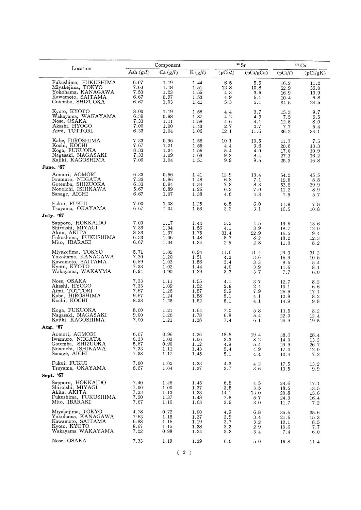|                                               |              | Component    |              |                | 90 Sr                  |              | $137 \text{Cs}$ |
|-----------------------------------------------|--------------|--------------|--------------|----------------|------------------------|--------------|-----------------|
| Location                                      | Ash $(g/l)$  | Ca(g/l)      | K(g/l)       | (pCi/l)        | $\overline{(pCi/gCa)}$ | (pCi/l)      | (pCi/gK)        |
| Fukushima, FUKUSHIMA                          | 6.67         | 1.19         | 1.44         | 6.5            | 5.5                    | 16.2         | 11.2            |
| Miyakejima, TOKYO                             | 7.00         | 1.18         | 1.51         | 12.8           | 10.8                   | 52.9         | 35.0            |
| Yokohama, KANAGAWA                            | 7.50         | 1.23         | 1.55         | 4.3            | 3.5                    | 16.9         | 10.9            |
| Kawamoto, SAITAMA                             | 6.67         | 0.97         | 1.53         | 4.9            | 5.1                    | 10.4         | 6.8             |
| Gotemba, SHIZUOKA                             | 6.67         | 1.03         | 1.41         | 5.3            | 5.1                    | 34.5         | 24.5            |
| Kyoto, KYOTO                                  | 8.00         | 1.19         | 1.58         | 4.4            | 3.7                    | 15.3         | 9.7             |
| Wakayama, WAKAYAMA                            | 6.39         | 0.98         | 1.37         | 4.2            | 4.3                    | 7.5          | 5.5             |
| Nose, OSAKA                                   | 7.33         | 1.11         | 1.58         | 4.6            | 4.1                    | 12.6         | 8.0             |
| Akashi, HYOGO                                 | 7.00         | 1.00         | 1.43         | 2.7            | 2.7                    | 7.7          | 5.4             |
| Aimi, TOTTORI                                 | 6.33         | 1.04         | 1.06         | 12.1           | 11.6                   | 36.2         | 34.1            |
| Kabe, HIROSHIMA                               | 7.33         | 0.96         | 1.56         | 10.1           | 10.5                   | 11.7         | 7.5             |
| Kochi, KOCHI                                  | 7.67         | 1.21         | 1.55         | 4.4            | 3.6                    | 20.6         | 13.3            |
| Koga, FUKUOKA                                 | 8.33         | 1.34         | 1.56         | 5.4            | 4.0                    | 17.0         | 10.9            |
| Nagasaki, NAGASAKI                            | 7.33         | 1.09         | 1.68         | 9.2            | 8.4                    | 27.3         | 16.2            |
| Kajiki, KAGOSHIMA                             | 7.00         | 1.04         | 1.51         | 9.9            | 9.5                    | 25.3         | 16.8            |
| June. '67                                     |              |              |              |                |                        |              |                 |
| Aomori, AOMORI                                | 6.33         | 0.96         | 1.41         | 12.9           | 13.4                   | 64.2         | 45.5            |
| Iwamuro, NIIGATA                              | 7.33         | 0.96         | 1.48         | 6.8            | 7.1                    | 12.8         | 8.8             |
| Gotemba, SHIZUOKA                             | 6.33         | 0.94         | 1.34         | 7.8            | 8.3                    | 53.5         | 39.9            |
| Nonoichi, ISHIKAWA                            | 5.67         | 0.89         | 1.26         | 6.2            | 7.0                    | 11.2         | 8.9             |
| Sanage, AICHI                                 | 6.67         | 1.07         | 1.38         | 4.6            | 4.3                    | 7.9          | 5.7             |
| Fukui, FUKUI<br>Tsuyama, OKAYAMA<br>July. '67 | 7.00<br>6.67 | 1.08<br>1.04 | 1.25<br>1.53 | 6.5<br>$3\,.2$ | 6.0<br>3.1             | 11.9<br>16.5 | 7.8<br>10.8     |
| Sapporo, HOKKAIDO                             | 7.00         | 1.17         | 1.44         | 5.3            | 4.5                    | 19.6         | 13.6            |
| Shiroishi, MIYAGI                             | 7.33         | 1.04         | 1.56         | 4.1            | 3.9                    | 18.7         | 12.0            |
| Akita, AKITA                                  | 8.33         | 1.37         | 1.75         | 31.4           | 22.9                   | 16.5         | 9.4             |
| Fukushima, FUKUSHIMA                          | 6.33         | 1.06         | 1.48         | 8.7            | 8.2                    | 18.2         | 12.3            |
| Mito, IBARAKI                                 | 6.67         | 1.04         | 1.34         | 2.9            | 2.8                    | 11.0         | 8.2             |
| Miyakejima, TOKYO                             | 5.71         | 1.02         | 0.94         | 11.6           | 11.4                   | 29.3         | 31.2            |
| Yokohama, KANAGAWA                            | 7.30         | 1.20         | 1.51         | 4.3            | 3.6                    | 15.9         | 10.5            |
| Kawamoto, SAITAMA                             | 6.89         | 1.03         | 1.56         | 3.4            | 3.3                    | 8.5          | 5.4             |
| Kyoto, KYOTO                                  | 7.33         | 1.02         | 1.44         | 4.0            | 3.9                    | 11.6         | 8.1             |
| Wakayama, WAKAYMA                             | 6.94         | 0.90         | 1.29         | 3.3            | 3.7                    | 7.7          | 6.0             |
| Nose, OSAKA                                   | 7.33         | 1.11         | 1.55         | 4.1            | 3.7                    | 12.7         | 8.2             |
| Akashi, HYOGO                                 | 7.33         | 1.09         | 1.52         | 2.6            | 2.4                    | 10.1         | 6.6             |
| Aimi, TOTTORI                                 | 7.67         | 1.26         | 1.57         | 9.9            | 7.9                    | 26.9         | 17.1            |
| Kabe, HIROSHIMA                               | 9.67         | 1.24         | 1.58         | 5.1            | 4.1                    | 12.9         | 8.2             |
| Kochi, KOCHI                                  | 8.33         | 1.25         | 1.52         | 5.1            | 4.1                    | 14.9         | 9.8             |
| Koga, FUKUOKA                                 | 8.00         | 1.21         | 1.64         | 7.0            | 5.8                    | 13.5         | 8.2             |
| Nagasaki, NAGASAKI                            | 9.00         | 1.26         | 1.78         | 6.8            | 5.4                    | 22.0         | 12.4            |
| Kajiki, KAGOSHIMA                             | 7.00         | 1.21         | 1.38         | 7.4            | 6.1                    | 26.9         | 19.5            |
| Aug. '67                                      |              |              |              |                |                        |              |                 |
| Aomori, AOMORI                                | 6.67         | 0.96         | 1.36         | 18.6           | 19.4                   | 38.6         | 28.4            |
| Iwamuro, NIIGATA                              | 6.33         | 1.03         | 1.06         | 3.3            | 3.2                    | 14.0         | 13.2            |
| Gotemba, SHIZUOKA                             | 5.67         | 0.90         | 1.12         | 4.9            | 5.4                    | 29.9         | 26.7            |
| Nonoichi, ISHIKAWA                            | 7.33         | 1.11         | 1.43         | 5.4            | 4.9                    | 17.0         | 12.0            |
| Sanage, AICHI                                 | 7.33         | 1.17         | 1.45         | 5.1            | 4.4                    | 10.4         | 7.2             |
| Fukui, FUKUI<br>Tsuyama, OKAYAMA<br>Sept. '67 | 7.00<br>6.67 | 1.02<br>1.04 | 1.33<br>1.37 | 4.3<br>3.7     | 4.2<br>3.6             | 17.5<br>13.5 | 13.2<br>9.9     |
| Sapporo, HOKKAIDO                             | 7.40         | 1.46         | 1.45         | 6.5            | 4.5                    | 24.6         | 17.1            |
| Shiroishi, MIYAGI                             | $7.00\,$     | 1.00         | 1.37         | 3.5            | 3.5                    | 18.5         | 13.5            |
| Akita, AKITA                                  | 7.33         | 1.13         | 1.33         | 14.1           | 13.0                   | 20.8         | 15.6            |
| Fukushima, FUKUSHIMA                          | 7.50         | 1.37         | 1.48         | 7.8            | 5.7                    | 24.3         | 16.4            |
| Mito, IBARAKI                                 | 7.67         | 1.16         | 1.63         | 3.5            | 3.0                    | 11.7         | 7.2             |
| Miyakejima, TOKYO                             | 4.78         | 0.72         | 1.00         | 4.9            | 6.8                    | 35.6         | 35.6            |
| Yokohama, KANAGAWA                            | 7.63         | 1.15         | 1.37         | 3.9            | 3.4                    | 21.6         | 15.3            |
| Kawamoto, SAITAMA                             | 6.88         | 1.16         | 1.19         | 3.7            | 3.2                    | 10.1         | 8.5             |
| Kyoto, KYOTO                                  | 8.67         | 1.15         | 1.38         | 3.3            | 2.9                    | 10.6         | 7.7             |
| Wakayama WAKAYAMA                             | 7.22         | 0.98         | 1.24         | $3.3\,$        | 3.4                    | 7.4          | 6.0             |
| Nose, OSAKA                                   | 7.33         | 1.19         | 1.39         | 6.0            | 5.0                    | 15.8         | 11.4            |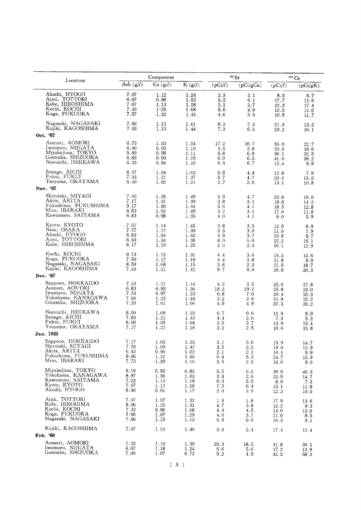|                                                                                      |                              | Component                    |                              |                          | 90 Sr                    |                              | <sup>137</sup> Cs           |
|--------------------------------------------------------------------------------------|------------------------------|------------------------------|------------------------------|--------------------------|--------------------------|------------------------------|-----------------------------|
| Location                                                                             | Ash $(g/l)$                  | Ca (g/l)                     | K(g/l)                       | (pCi/l)                  | $\overline{(pCi/gCa)}$   | (pCi/l)                      | (pCi/gK)                    |
| Akashi, HYOGO                                                                        | 7.67                         | 1.12                         | 1.24                         | 2.3                      | 2.1                      | 8.3                          | 6.7                         |
| Aimi, TOTTORI                                                                        | 6.67                         | 0.90                         | 1.53                         | 5.5                      | 6.1                      | 17.7                         | 11.6                        |
| Kabe, HIROSHIMA                                                                      | 7.67                         | 1.13                         | 1.28                         | 3.1                      | 2.7                      | 22.3                         | 17.4                        |
| Kochi, KOCHI                                                                         | 7.33                         | 1.25                         | 1.08                         | 5.0                      | 4.0                      | 12.5                         | 11.6                        |
| Koga, FUKUOKA                                                                        | 7.57                         | 1.32                         | 1.44                         | 4.6                      | 3.5                      | 16.9                         | 11.7                        |
| Nagasaki, NAGASAKI<br>Kajiki, KAGOSHIMA<br>Oct. '67                                  | 7.66<br>7.33                 | 1.13<br>1.13                 | 1.61<br>1.44                 | 8.3<br>7.3               | 7.3<br>6.5               | 21.3<br>23.2                 | 13.2<br>16.1                |
| Aomori, AOMORI                                                                       | 6.73                         | 1.03                         | 1.54                         | 17.2                     | 16.7                     | 55.0                         | 22.7                        |
| Iwamuro, NIIGATA                                                                     | 6.00                         | 0.93                         | 1.10                         | 3.5                      | 3.8                      | 20.5                         | 18.6                        |
| Miyakejima, TOKYO                                                                    | 5.69                         | 0.98                         | 1.11                         | 6.8                      | 6.9                      | 36.1                         | 32.5                        |
| Gotemba, SHIZUOKA                                                                    | 6.83                         | 0.93                         | 1.09                         | 6.0                      | 6.5                      | 41.6                         | 38.2                        |
| Nonoichi, ISHIKAWA                                                                   | 6.33                         | 0.94                         | 1.25                         | 6.3                      | 6.7                      | 12.4                         | 9.9                         |
| Sanage, AICHI<br>Fukui, FUKUI<br>Tsuyama, OKAYAMA<br>Nov. '67                        | 8.27<br>7.33<br>6.40         | 1.54<br>1.21<br>1.02         | 1.63<br>1.37<br>1.21         | 6.8<br>5.7<br>2.7        | 4.4<br>4.7<br>2.6        | 12.8<br>20.6<br>13.1         | 7.9<br>15.0<br>10.8         |
| Shiroishi, MIYAGI                                                                    | 7.40                         | 1.25                         | 1.49                         | 5.9                      | 4.7                      | 23.8                         | 16.0                        |
| Akita, AKITA                                                                         | 7.17                         | 1.21                         | 1.39                         | 3.8                      | 3.1                      | 19.8                         | 14.2                        |
| Fukushima, FUKUSHIMA                                                                 | 9.17                         | 1.36                         | 1.44                         | 5.6                      | 4.1                      | 18.5                         | 12.8                        |
| Mito, IBARAKI                                                                        | 6.83                         | 1.02                         | 1.49                         | 3.2                      | 3.1                      | 17.6                         | 11.8                        |
| Kawamoto, SAITAMA                                                                    | 6.83                         | 0.98                         | 1.35                         | 4.0                      | 4.1                      | 8.0                          | 5.9                         |
| Kyoto, KYOTO                                                                         | 7.57                         | 1.14                         | 1.45                         | 3.8                      | 3.3                      | 12.9                         | 8.9                         |
| Nose, OSAKA                                                                          | 7.77                         | 1.17                         | 1.39                         | 3.5                      | 3.0                      | 11.0                         | 7.9                         |
| Akashi, HYOGO                                                                        | 8.83                         | 1.05                         | 1.43                         | 3.9                      | 3.7                      | 13.8                         | 9.7                         |
| Aimi, TOTTORI                                                                        | 6.50                         | 1.34                         | 1.38                         | 8.0                      | 6.0                      | 22.2                         | 16.1                        |
| Kabe, HIROSHIMA                                                                      | 8.17                         | 1.10                         | 1.25                         | 2.6                      | 2.4                      | 16.1                         | 12.9                        |
| Kochi, KOCHI<br>Koga, FUKUOKA<br>Nagasaki, NAGASAKI<br>Kajiki, KAGOSHIMA<br>Dec. '67 | 9.73<br>7.50<br>8.50<br>7.43 | 1.23<br>1.17<br>1.68<br>1.21 | 1.31<br>1.19<br>1.15<br>1.42 | 4.4<br>4.4<br>3.8<br>9.7 | 3.6<br>3.8<br>2.3<br>8.0 | 14.5<br>11.8<br>21.5<br>28.8 | 12.6<br>9.9<br>18.7<br>20.3 |
| Sapporo, HOKKAIDO                                                                    | 7.33                         | 1.21                         | 1.44                         | 4.2                      | 3.5                      | 25.6                         | 17.8                        |
| Aomori, AOMORI                                                                       | 6.83                         | 0.95                         | 1.36                         | 18.2                     | 19.2                     | 25.8                         | 19.0                        |
| Iwamuro, NIIGATA                                                                     | 7.33                         | 0.97                         | 1.33                         | 6.8                      | 7.0                      | 20.4                         | 15.3                        |
| Yokohama, KANAGAWA                                                                   | 7.56                         | 1.23                         | 1.44                         | 3.2                      | 2.6                      | 21.9                         | 15.2                        |
| Gotemba, SHIZUOKA                                                                    | 7.33                         | 1.01                         | 1.06                         | 4.9                      | 4.9                      | 37.3                         | 35.2                        |
| Nonoichi, ISHIKAWA                                                                   | 8.00                         | 1.09                         | 1.33                         | 0.7                      | 0.6                      | 11.9                         | 8.9                         |
| Sanage, AICHI                                                                        | 7.83                         | 1.21                         | 1.43                         | 4.4                      | 3.6                      | 7.5                          | 5.2                         |
| Fukui, FUKUI                                                                         | 8.00                         | 1.05                         | 1.04                         | 3.9                      | 3.7                      | 13.9                         | 13.4                        |
| Tsuyama, OKAYAMA                                                                     | 7.17                         | 1.27                         | 1.18                         | 3.2                      | 2.5                      | 18.6                         | 15.8                        |
| Jan. 1968                                                                            |                              |                              |                              |                          |                          |                              |                             |
| Sapporo, HOKKAIDO                                                                    | 7.17                         | 1.05                         | 1.35                         | 3.1                      | $3\,.0$                  | 19.9                         | $14.7\,$                    |
| Shiroishi, MIYAGI                                                                    | 7.33                         | 1.09                         | 1.47                         | $3.5\,$                  | 3.2                      | 19.0                         | 12.9                        |
| Akita, AKITA                                                                         | 6.43                         | 0.90                         | 1.02                         | 2.1                      | 2.1                      | 10.1                         | 9.9                         |
| Fukushima, FUKUSHIMA                                                                 | 9.66                         | 1.21                         | 1.55                         | 6.4                      | 5.3                      | 24.7                         | 15.9                        |
| Mito, IBARAKI                                                                        | 7.73                         | 1.39                         | 1.10                         | 3.5                      | 2.5                      | 10.6                         | 9.6                         |
| Miyakejima, TOKYO                                                                    | 5.19                         | 0.85                         | 0.85                         | 5.5                      | 6.5                      | 39.9                         | 46.9                        |
| Yokohama, KANAGAWA                                                                   | 8.97                         | 1.30                         | 1.63                         | 3.4                      | 2.6                      | 23.9                         | 14.7                        |
| Kawamoto, SAITAMA                                                                    | 7.23                         | 1.14                         | 1.18                         | 6.3                      | 5.5                      | 8.6                          | 7.3                         |
| Kyoto, KYOTO                                                                         | 7.67                         | 1.13                         | 1.28                         | 7.2                      | 6.4                      | 15.1                         | 11.8                        |
| Akashi, HYOGO                                                                        | 8.00                         | 0.91                         | 1.17                         | 2.6                      | 2.9                      | 12.3                         | 10.5                        |
| Aimi, TOTTORI                                                                        | 7.07                         | 1.07                         | 1.32                         | 1.9                      | 1.8                      | 17.9                         | 13.6                        |
| Kabe, HIROHIMA                                                                       | 9.00                         | 1.25                         | 1.31                         | 4.7                      | 3.8                      | 12.2                         | 9.3                         |
| Kochi, KOCHI                                                                         | 7.33                         | 0.96                         | 1.08                         | 4.3                      | 4.5                      | 14.0                         | 13.0                        |
| Koga, FUKUOKA                                                                        | 7.00                         | 1.07                         | 1.29                         | 4.0                      | 3.7                      | 11.0                         | 8.5                         |
| Nagasaki, NAGASAKI                                                                   | 7.60                         | 1.15                         | 1.13                         | 6.9                      | 6.0                      | 10.3                         | 9.1                         |
| Kajiki, KAGOSHIMA<br>Feb. '68                                                        | 7.67                         | 1.24                         | 1.40                         | 3.0                      | 2.4                      | 17.4                         | 12.4                        |
| Aomori, AOMORI                                                                       | 7.33                         | 1.10                         | 1.39                         | 20.3                     | 18.5                     | 41.8                         | 30.1                        |
| Iwamuro, NIIGATA                                                                     | 6.67                         | 1.18                         | 1.24                         | 6.6                      | 5.6                      | 17.2                         | 13.9                        |
| Gotemba, SHIZUOKA                                                                    | 7.00                         | 1.07                         | 0.73                         | 5.2                      | 4.9                      | 42.5                         | 58.2                        |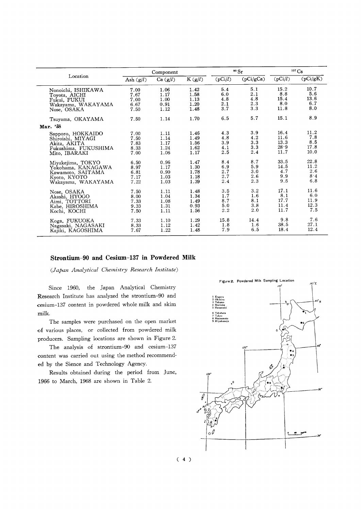|                      |             | Component |        |               | $\cdot$ Sr |         | $137 \text{Cs}$ |
|----------------------|-------------|-----------|--------|---------------|------------|---------|-----------------|
| Location             | Ash $(g/l)$ | Ca(g/l)   | K(g/l) | (pCi/l)       | (pCi/gCa)  | (pCi/l) | (pCi/gK)        |
| Nonoichi, ISHIKAWA   | 7.00        | 1.06      | 1.42   | 5.4           | 5.1        | 15.2    | 10.7            |
| Toyota, AICHI        | 7.67        | 1.17      | 1.58   | 6.0           | 2.1        | 8.8     | 5.6             |
| Fukui, FUKUI         | 7.00        | 1.00      | 1.13   | 4.8           | 4.8        | 15.4    | 13.6            |
| Wakayama, WAKAYAMA   | 6.67        | 0.91      | 1.20   | 2.1           | 2.3        | 8.0     | 6.7             |
| Nose, OSAKA          | 7.50        | 1.12      | 1.48   | 3.7           | 3.3        | 11.8    | 8.0             |
| Tsuyama, OKAYAMA     | 7.50        | 1.14      | 1.70   | 6.5           | 5.7        | 15.1    | 8.9             |
| Mar. '58             |             |           |        |               |            |         |                 |
| Sapporo, HOKKAIDO    | 7.00        | 1.11      | 1.46   | 4.3           | 3.9        | 16.4    | 11.2            |
| Shiroishi, MIYAGI    | 7.50        | 1.14      | 1.49   | 4.8           | 4.2        | 11.6    | 7.8             |
| Akita, AKITA         | 7.83        | 1.17      | 1.56   | 3.9           | 3.3        | 13.3    | 8.5             |
| Fukushima, FUKUSHIMA | 8.33        | 1.24      | 1.62   | 4.1           | 3.3        | 28.9    | 17.8            |
| Mito, IBARAKI        | 7.00        | 1.06      | 1.17   | 2.5           | 2.4        | 11.7    | 10.0            |
| Miyakejima, TOKYO    | 6.50        | 0.96      | 1.47   | 8.4           | 8.7        | 33.5    | 22.8            |
| Yokohama, KANAGAWA   | 8.97        | 1.17      | 1.30   | 6.9           | 5.9        | 14.5    | 11.2            |
| Kawamoto, SAITAMA    | 6.81        | 0.90      | 1.78   | 2.7           | 3.0        | 4.7     | 2.6             |
| Kyoto, KYOTO         | 7.17        | 1.03      | 1.18   | 2.7           | 2.6        | 9.9     | 8.4             |
| Wakayama, WAKAYAMA   | 7.22        | 1.03      | 1.39   | 2.4           | 2.3        | 9.5     | 6.8             |
| Nose, OSAKA          | 7.50        | 1.11      | 1.48   | 3.5           | 3.2        | 17.1    | 11.6            |
| Akashi, HYOGO        | 8.00        | 1.04      | 1.34   | 1.7           | 1.6        | 8.1     | 6.0             |
| Aimi, TOTTORI        | 7.33        | 1.08      | 1.49   | 8.7           | 8.1        | 17.7    | 11.9            |
| Kabe, HIROSHIMA      | 9.33        | 1.31      | 0.93   | 5.0           | 3.8        | 11.4    | 12.3            |
| Kochi, KOCHI         | 7.50        | 1.11      | 1.56   | $2.2^{\circ}$ | 2.0        | 11.7    | 7.5             |
| Koga, FUKUOKA        | 7.33        | 1.10      | 1.29   | 15.8          | 14.4       | 9.8     | 7.6             |
| Nagasaki, NAGASAKI   | 8.33        | 1.12      | 1.42   | 1.8           | 1.6        | 38.5    | 27.1            |
| Kaiiki, KAGOSHIMA    | 7.67        | 1.22      | 1.48   | 7.9           | 6.5        | 18.4    | 12.4            |

#### Strontium-90 and Cesium-137 in Powdered Milk

(Japan Analytical Chemistry Research Institute)

Since 1960, the Japan Analytical Chemistry Research Institute has analyzed the strontium-90 and cesium-137 content in powdered whole milk and skim milk.

The samples were purchased on the open market of various places, or collected from powdered milk producers. Sampling locations are shown in Figure 2.

The analysis of strontium-90 and cesium-137 content was carried out using the method recommended by the Sience and Technology Agency.

Results obtained during the period from June, 1966 to March, 1968 are shown in Table 2.

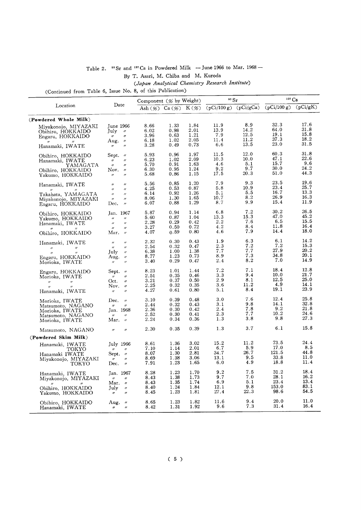|                                                            | Table 2. <sup>90</sup> Sr and <sup>137</sup> Cs in Powdered Milk - June 1966 to Mar. 1968 - |
|------------------------------------------------------------|---------------------------------------------------------------------------------------------|
|                                                            | By T. Asari, M. Chiba and M. Kuroda                                                         |
|                                                            | (Japan Analytical Chemistry Research Institute)                                             |
| (Continued from Table 6, Issue No. 8, of this Publication) |                                                                                             |
|                                                            | $\rm ^{90}Sr$<br>Component $(%$ by Weight                                                   |

|                                                                                                                                           |                                                                                                                                                                                                                                                                                                                                                                                                                                                                                                                                                                                                                                             | Component (% by Weight)              |                                      |                                      | 90 Sr                              |                                     | $137 \text{Cs}$                       |                                      |
|-------------------------------------------------------------------------------------------------------------------------------------------|---------------------------------------------------------------------------------------------------------------------------------------------------------------------------------------------------------------------------------------------------------------------------------------------------------------------------------------------------------------------------------------------------------------------------------------------------------------------------------------------------------------------------------------------------------------------------------------------------------------------------------------------|--------------------------------------|--------------------------------------|--------------------------------------|------------------------------------|-------------------------------------|---------------------------------------|--------------------------------------|
| Location                                                                                                                                  | Date                                                                                                                                                                                                                                                                                                                                                                                                                                                                                                                                                                                                                                        | Ash $(\%)$ Ca $(\%)$ K $(\%)$        |                                      |                                      | $(pCi/100 g)$ (pCi/gCa)            |                                     | (pCi/100 g)                           | (pCi/gK)                             |
| (Powdered Whole Milk)                                                                                                                     |                                                                                                                                                                                                                                                                                                                                                                                                                                                                                                                                                                                                                                             |                                      |                                      |                                      |                                    |                                     |                                       |                                      |
| Miyakonojo, MIYAZAKI<br>Obihiro, HOKKAIDO<br>Engaru, HOKKAIDO<br>$^{\prime\prime}$<br>n<br>Hanamaki, IWATE                                | June 1966<br>July<br>$^{\prime\prime}$<br>$\prime\prime$<br>$\prime\prime$<br>$^{\prime\prime}$<br>Aug.<br>$^{\prime\prime}$<br>$^{\prime\prime}$                                                                                                                                                                                                                                                                                                                                                                                                                                                                                           | 8.66<br>6.02<br>3.96<br>6.18<br>3.28 | 1.33<br>0.98<br>0.63<br>1.02<br>0.49 | 1.84<br>2.01<br>1.21<br>2.05<br>0.73 | 11.9<br>13.9<br>7.9<br>11.4<br>6.6 | 8.9<br>14.2<br>12.5<br>11.2<br>13.5 | 32.3<br>64.0<br>19.1<br>37.3<br>23.0  | 17.6<br>31.8<br>15.8<br>18.2<br>31.5 |
| Obihiro, HOKKAIDO<br>Hanamaki, IWATE<br>YAMAGATA<br>Obihiro, HOKKAIDO<br>Yakumo, HOKKAIDO                                                 | Sept.<br>$^{\prime\prime}$<br>$^{\prime\prime}$<br>$^{\prime\prime}$<br>$^{\prime\prime}$<br>$^{\prime\prime}$<br>Nov.<br>$\prime\prime$<br>$^{\prime\prime}$<br>$^{\prime\prime}$                                                                                                                                                                                                                                                                                                                                                                                                                                                          | 5.93<br>6.23<br>5.70<br>6.30<br>5.68 | 0.96<br>1.02<br>0.91<br>0.95<br>0.86 | 1.97<br>2.09<br>1.63<br>1.24<br>1.15 | 11.5<br>10.3<br>4.6<br>9.2<br>17.5 | 12.0<br>10.0<br>5.1<br>9.7<br>20.3  | 60.3<br>47.1<br>15.7<br>30.0<br>51.0  | 31.8<br>22.6<br>9.6<br>24.2<br>44.3  |
| Hanamaki, IWATE<br>$\prime$<br>$^{\prime\prime}$<br>Takahata, YAMAGATA<br>Miyakonojo, MIYAZAKI<br>Engaru, HOKKAIDO                        | $^{\prime\prime}$<br>$^{\prime\prime}$<br>$^{\prime\prime}$<br>$^{\prime\prime}$<br>$^{\prime\prime}$<br>$^{\prime\prime}$<br>$\prime\prime$<br>$^{\prime\prime}$<br>Dec.<br>$^{\prime\prime}$                                                                                                                                                                                                                                                                                                                                                                                                                                              | 5.56<br>4.25<br>6.14<br>8.06<br>6.07 | 0.85<br>0.53<br>0.92<br>1.30<br>0.88 | 1.20<br>0.87<br>1.26<br>1.65<br>1.29 | 7.9<br>5.8<br>5.1<br>10.7<br>8.7   | 9.3<br>10.9<br>5.5<br>8.2<br>9.9    | 23.5<br>23.4<br>16.7<br>26.9<br>15.4  | 19.6<br>25.7<br>13.3<br>16.3<br>11.9 |
| Obihiro, HOKKAIDO<br>Yakumo, HOKKAIDO<br>Hanamaki, IWATE<br>Obihiro, HOKKAIDO                                                             | Jan. 1967<br>$\prime\prime$<br>$^{\prime\prime}$<br>$\theta$<br>$^{\prime\prime}$<br>$\prime\prime$<br>$^{\prime\prime}$<br>Mar.<br>$^{\prime\prime}$                                                                                                                                                                                                                                                                                                                                                                                                                                                                                       | 5.87<br>5.60<br>2.28<br>3.27<br>4.07 | 0.94<br>0.87<br>0.29<br>0.50<br>0.59 | 1.14<br>1.04<br>0.42<br>0.72<br>0.80 | 6.8<br>13.3<br>2.2<br>4.2<br>4.6   | 7.2<br>15.3<br>7.6<br>8.4<br>7.9    | 30.2<br>47.0<br>6.5<br>11.8<br>14.4   | 26.5<br>45.2<br>15.5<br>16.4<br>18.0 |
| Hanamaki, IWATE<br>$^{\prime\prime}$<br>$^{\prime\prime}$<br>$^{\prime\prime}$<br>Engaru, HOKKAIDO<br>Morioka, IWATE                      | $^{\prime\prime}$<br>$^{\prime\prime}$<br>$^{\prime\prime}$<br>$\mathcal{U}% =\mathcal{U}^{T}\left( \mathcal{U}^{T}\right) \otimes\mathcal{U}^{T}\left( \mathcal{U}^{T}\right) \otimes\mathcal{U}^{T}\left( \mathcal{U}^{T}\right) \otimes\mathcal{U}^{T}\left( \mathcal{U}^{T}\right) \otimes\mathcal{U}^{T}\left( \mathcal{U}^{T}\right) \otimes\mathcal{U}^{T}\left( \mathcal{U}^{T}\right) \otimes\mathcal{U}^{T}\left( \mathcal{U}^{T}\right) \otimes\mathcal{U}^{T}\left( \mathcal{U}^{T}\right) \otimes\mathcal{U}^{T}\left( \math$<br>July<br>$\prime\prime$<br>Aug.<br>$^{\prime\prime}$<br>$^{\prime\prime}$<br>$^{\prime\prime}$ | 2.32<br>2.54<br>6.38<br>8.77<br>3.40 | 0.30<br>0.32<br>1.00<br>1.23<br>0.29 | 0.43<br>0.47<br>1.38<br>0.73<br>0.47 | 1.9<br>2.3<br>7.7<br>8.9<br>2.4    | 6.3<br>7.2<br>7.7<br>7.3<br>8.2     | 6.1<br>7.2<br>27.9<br>34.8<br>7.0     | 14.2<br>15.3<br>20.2<br>20.1<br>14.9 |
| Engaru, HOKKAIDO<br>Morioka, IWATE<br>$^{\prime\prime}$<br>$^{\prime\prime}$<br>$^{\prime\prime}$<br>$^{\prime\prime}$<br>Hanamaki, IWATE | ${\rm Sept.}$<br>$\prime\prime$<br>$^{\prime\prime}$<br>$^{\prime\prime}$<br>Oct.<br>$^{\prime\prime}$<br>Nov.<br>$\prime\prime$<br>$^{\prime\prime}$<br>$^{\prime\prime}$                                                                                                                                                                                                                                                                                                                                                                                                                                                                  | 8.23<br>2.51<br>3.21<br>2.25<br>4.27 | 1.01<br>0.35<br>0.37<br>0.32<br>0.61 | 1.44<br>0.46<br>0.50<br>0.35<br>0.80 | 7.2<br>3.3<br>2.9<br>3.6<br>5.1    | 7.1<br>9,4<br>8.1<br>11.2<br>8.4    | 18.4<br>10.0<br>12.5<br>4.9<br>19.1   | 12.8<br>21.7<br>25.0<br>14.1<br>23.9 |
| Morioka, IWATE<br>Matsumoto, NAGANO<br>Morioka, IWATE<br>Matsumoto, NAGANO<br>Morioka, IWATE                                              | Dec.<br>$^{\prime\prime}$<br>$^{\prime\prime}$<br>$^{\prime\prime}$<br>Jan. 1968<br>$^{\prime\prime}$<br>$^{\prime\prime}$<br>Mar.<br>$^{\prime\prime}$                                                                                                                                                                                                                                                                                                                                                                                                                                                                                     | 3.10<br>2.44<br>2.36<br>2.52<br>2.24 | 0.39<br>0.32<br>0.30<br>0.30<br>0.34 | 0.48<br>0.43<br>0.42<br>0.41<br>0.36 | 3.0<br>3.1<br>2.4<br>2.3<br>1.3    | 7.6<br>9.8<br>7.8<br>7.7<br>3.8     | 12.4<br>14.1<br>9.2<br>10.2<br>9.8    | 25.8<br>32.8<br>21.8<br>24.6<br>27.3 |
| Matsumoto, NAGANO                                                                                                                         | $^{\prime\prime}$<br>$^{\prime\prime}$                                                                                                                                                                                                                                                                                                                                                                                                                                                                                                                                                                                                      | 2.30                                 | 0.35                                 | 0.39                                 | 1.3                                | 3.7                                 | 6.1                                   | 15.8                                 |
| (Powdered Skim Milk)                                                                                                                      |                                                                                                                                                                                                                                                                                                                                                                                                                                                                                                                                                                                                                                             |                                      |                                      |                                      |                                    |                                     |                                       |                                      |
| Hanamaki, IWATE<br>TOKYO<br>Hanamaki IWATE<br>Miyakonojo, MIYAZAKI<br>токуо                                                               | July 1966<br>$\boldsymbol{\prime\prime}$<br>$\boldsymbol{\prime}$<br>Sept.<br>$^{\prime\prime}$<br>$^{\prime\prime}$<br>$^{\prime\prime}$<br>Dec.<br>$^{\prime\prime}$                                                                                                                                                                                                                                                                                                                                                                                                                                                                      | 8.61<br>7.10<br>8.07<br>8.69<br>7.91 | 1.36<br>1.14<br>1.30<br>1.38<br>1.23 | 3.02<br>2.01<br>2.81<br>3.06<br>1.65 | 15.2<br>6.7<br>34.7<br>13.1<br>6.0 | 11.2<br>5.9<br>26.7<br>9.5<br>4.9   | 73.5<br>17.0<br>121.5<br>33.8<br>18.8 | 24.4<br>8.5<br>44.8<br>11.0<br>11.4  |
| Hanamaki, IWATE<br>Miyakonojo, MIYAZAKI<br>Obihiro, HOKKAIDO<br>Yakumo, HOKKAIDO                                                          | Jan. 1967<br>$^{\prime\prime}$<br>$^{\prime\prime}$<br>Mar. $\theta$<br>July<br>$^{\prime\prime}$<br>n<br>$^{\prime\prime}$                                                                                                                                                                                                                                                                                                                                                                                                                                                                                                                 | 8.28<br>8.43<br>8.43<br>8.40<br>8.45 | 1.23<br>1.38<br>1.35<br>1.24<br>1.23 | 1.70<br>1.73<br>1.74<br>1.84<br>1.81 | 9.2<br>9.7<br>6.9<br>12.1<br>27.4  | 7.5<br>7.0<br>5.1<br>9.8<br>22.3    | 31.2<br>28.1<br>23.4<br>153.0<br>98.6 | 18.4<br>16.2<br>13.4<br>83.1<br>54.5 |
| Obihiro, HOKKAIDO<br>Hanamaki, IWATE                                                                                                      | Aug.<br>$^{\prime\prime}$<br>$^{\prime\prime}$<br>$^{\prime\prime}$                                                                                                                                                                                                                                                                                                                                                                                                                                                                                                                                                                         | 8.65<br>8.42                         | 1.23<br>1.31                         | 1.82<br>1.92                         | 11.6<br>9.6                        | 9.4<br>7.3                          | 20.0<br>31.4                          | 11.0<br>16.4                         |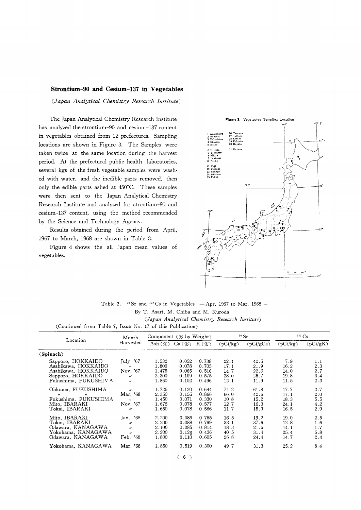#### Strontium-90 and Cesium-137 in Vegetables

(Japan Analytical Chemistry Research Institute)

The Japan Analytical Chemistry Research Institute has analyzed the strontium-90 and cesium-137 content in vegetables obtained from 12 prefectures. Sampling locations are shown in Figure 3. The Samples were taken twice at the same location during the harvest period. At the prefectural public health laboratories, several kgs of the fresh vegetable samples were washed with water, and the inedible parts removed, then only the edible parts ashed at 450°C. These samples were then sent to the Japan Analytical Chemistry Research Institute and analyzed for strontium-90 and cesium-137 content, using the method recommended by the Science and Technology Agency.

Results obtained during the period from April, 1967 to March, 1968 are shown in Table 3.

Figure 4 shows the all Japan mean values of vegetables.



Table 3.  $\degree$  Sr and  $\degree$  Ts in Vegetables - Apr. 1967 to Mar. 1968 -By T. Asari, M. Chiba and M. Kuroda (Japan Analytical Chemistry Research Institute)

(Continued from Table 7, Issue No. 17 of this Publication)

|                                                                                                                        | Month                                                                                     | Component $(\mathscr{C}$ by Weight)       |                                           |                                           |                                      | 90 Sr                                |                                      | $137 \text{ Cs}$                |
|------------------------------------------------------------------------------------------------------------------------|-------------------------------------------------------------------------------------------|-------------------------------------------|-------------------------------------------|-------------------------------------------|--------------------------------------|--------------------------------------|--------------------------------------|---------------------------------|
| Location                                                                                                               | Harvested                                                                                 | Ash $(\%)$                                | Ca (%)                                    | $K(\mathscr{G})$                          | (pCi/kg)                             | (pCi/gCa)                            | (pCi/kg)                             | (pCi/gK)                        |
| (Spinach)                                                                                                              |                                                                                           |                                           |                                           |                                           |                                      |                                      |                                      |                                 |
| Sapporo, HOKKAIDO<br>Asahikawa, HOKKAIDO<br>Asahikawa, HOKKAIDO<br>Sapporo, HOKKAIDO<br>Fukushima, FUKUSHIMA           | July 767<br>$^{\prime\prime}$<br>Nov. '67<br>$^{\prime\prime}$<br>$^{\prime\prime}$       | 1.532<br>1.800<br>1.475<br>2.300<br>1.860 | 0.052<br>0.078<br>0.065<br>0.109<br>0.102 | 0.738<br>0.705<br>0.516<br>0.575<br>0.496 | 22.1<br>17.1<br>14.7<br>28.0<br>12.1 | 42.5<br>21.9<br>22.6<br>25.7<br>11.9 | 7.9<br>16.2<br>14.0<br>19.8<br>11.5  | 1.1<br>2.3<br>2.7<br>3.4<br>2.3 |
| Ohkuma, FUKUSHIMA<br>$^{\prime\prime}$<br>$^{\prime\prime}$<br>Fukushima, FUKUSHIMA<br>Mito, IBARAKI<br>Tokai, IBARAKI | $^{\prime\prime}$<br>Mar. '68<br>$^{\prime\prime}$<br>Nov. '67<br>$^{\prime\prime}$       | 1.725<br>2.350<br>1.450<br>1.675<br>1.650 | 0.120<br>0.155<br>0.071<br>0.078<br>0.078 | 0.644<br>0.866<br>0.330<br>0.577<br>0.566 | 74.2<br>66.0<br>10.8<br>12.7<br>11.7 | 61.8<br>42.6<br>15.2<br>16.3<br>15.0 | 17.7<br>17.1<br>18.3<br>24.1<br>16.5 | 2.7<br>2.0<br>5.5<br>4.2<br>2.9 |
| Mito, IBARAKI<br>Tokai, IBARAKI<br>Odawara, KANAGAWA<br>Yokohama, KANAGAWA<br>Odawara, KANAGAWA                        | '68<br>Jan.<br>$^{\prime\prime}$<br>$^{\prime\prime}$<br>$^{\prime\prime}$<br>'68<br>Feb. | 2.200<br>2.200<br>2.100<br>2.200<br>1.800 | 0.086<br>0.088<br>0.085<br>0.126<br>0.110 | 0.765<br>0.799<br>0.814<br>0.436<br>0.605 | 16.5<br>33.1<br>18.3<br>40.5<br>26.8 | 19.2<br>37.6<br>21.5<br>31.4<br>24.4 | 19.0<br>12.8<br>14.1<br>25.4<br>14.7 | 2.5<br>1.6<br>1.7<br>5.8<br>2.4 |
| Yokohama, KANAGAWA                                                                                                     | Mar. '68                                                                                  | 1.850                                     | 0.519                                     | 0.300                                     | 49.7                                 | 31.3                                 | 25.2                                 | 8.4                             |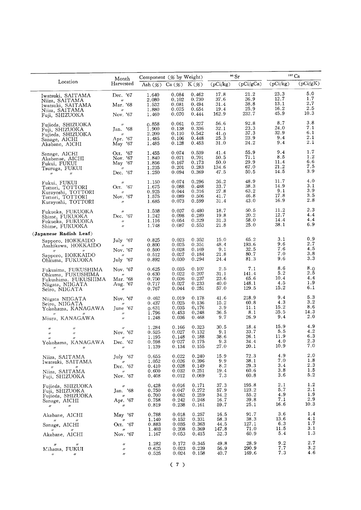|                                                                                                                                                                                            | Month                                                                                   | Component (% by Weight)                            |                                                    |                                                    |                                             | 90 Sr                                  | $137 \text{Cs}$                             |                                     |
|--------------------------------------------------------------------------------------------------------------------------------------------------------------------------------------------|-----------------------------------------------------------------------------------------|----------------------------------------------------|----------------------------------------------------|----------------------------------------------------|---------------------------------------------|----------------------------------------|---------------------------------------------|-------------------------------------|
| Location                                                                                                                                                                                   | Harvested                                                                               |                                                    | Ash $(\%)$ Ca $(\%)$ K $(\%)$                      |                                                    | (pCi/kg)                                    | (pCi/gCa)                              | (pCi/kg)                                    | $\overline{({\rm pCi/gK})}$         |
| Iwatsuki, SAITAMA<br>Niiza, SAITAMA<br>Iwatsuki, SAITAMA<br>Niiza, SAITAMA<br>Fuji, SHIZUOKA                                                                                               | Dec. '67<br>$^{\prime\prime}$<br>Mar. '68<br>$\prime\prime$<br>Nov. '67                 | 1.640<br>2.080<br>1.532<br>1.880<br>1.460          | 0.084<br>0.102<br>0.081<br>0.075<br>0.070          | 0.462<br>0.730<br>0.494<br>0.654<br>0.444          | 17.8<br>37.6<br>31.4<br>19.4<br>162.9       | 21.2<br>36.9<br>38.8<br>25.9<br>232.7  | 23.3<br>12.7<br>13.1<br>16.2<br>45.9        | 5.0<br>1.7<br>2.7<br>2.5<br>10.3    |
| Fujieda, SHIZUOKA<br>Fuji, SHIZUOKA<br>Fujieda, SHIZUOKA<br>Sanage, AICHI<br>Akabane, AICHI                                                                                                | $\prime\prime$<br>Jan. '68<br>$\prime\prime$<br>Apr. '67<br>$\overline{\text{May}}$ '67 | 0.858<br>1.900<br>2.200<br>1.485<br>1.485          | 0.061<br>0.138<br>0.110<br>0.106<br>0.128          | 0.227<br>0.336<br>0.542<br>0.448<br>0.453          | 56.6<br>32.1<br>41.0<br>25.3<br>31.0        | 92.8<br>23.3<br>37.3<br>23.9<br>24.2   | 8.7<br>24.0<br>32.9<br>9.4<br>9.4           | 3.8<br>7.1<br>6.1<br>2.1<br>2.1     |
| Sanage, AICHI<br>Akabanae, AICHI<br>Fukui, FUKUI<br>Tsuruga, FUKUI<br>$^{\prime\prime}$<br>$\prime\prime$                                                                                  | Oct. '67<br>Nov. '67<br>May '67<br>$\prime\prime$<br>Dec. '67                           | 1.455<br>1.840<br>1.856<br>1.235<br>1.250          | 0.074<br>0.071<br>0.167<br>0.201<br>0.094          | 0.539<br>0.701<br>0.173<br>0.283<br>0.369          | 41.4<br>50.5<br>50.0<br>134.6<br>47.5       | 55.9<br>71.1<br>29.9<br>67.0<br>50.5   | 9.4<br>8.5<br>11.4<br>21.2<br>14.5          | 1.7<br>1.2<br>6.6<br>7.5<br>3.9     |
| Fukui, FUKUI<br>Tottori, TOTTORI<br>Kuravoshi, TOTTORI<br>Tottori, TOTTORI<br>Kurayoshi, TOTTORI                                                                                           | $^{\prime\prime}$<br>Oct. '67<br>$^{\prime\prime}$<br>Nov. '67<br>$^{\prime\prime}$     | 1.150<br>1.675<br>0.925<br>1.575<br>1.685          | 0.074<br>0.088<br>0.044<br>0.089<br>0.073          | 0.296<br>0.488<br>0.316<br>0.506<br>0.599          | 36.2<br>33.7<br>27.8<br>41.7<br>31.4        | 48.9<br>38.3<br>63.2<br>46.8<br>43.0   | 11.7<br>14.9<br>9.1<br>17.8<br>16.9         | 4.0<br>3.1<br>3.9<br>3.5<br>2.8     |
| Fukuoka, FUKUOKA<br>Shime, FUKUOKA<br>Fukuoka, FUKUOKA<br>Shime, FUKUOKA                                                                                                                   | $\prime\prime$<br>Dec. '67<br>$^{\prime\prime}$<br>$\theta$                             | 1.538<br>1.242<br>1.116<br>1.748                   | 0.037<br>0.098<br>0.054<br>0.087                   | 0.480<br>0.289<br>0.329<br>0.553                   | 18.7<br>19.8<br>31.3<br>21.8                | 50.5<br>20.2<br>58.0<br>25.0           | 11.2<br>12.7<br>14.4<br>38.1                | 2.3<br>4.4<br>4.4<br>6.9            |
| (Japanese Radish Leaf)                                                                                                                                                                     |                                                                                         |                                                    | 0.023                                              | 0.352                                              | 15.0                                        | 65.2                                   | 3.1                                         | 0.9                                 |
| Sapporo, HOKKAIDO<br>Asahikawa, HOKKAIDO<br>Sapporo, HOKKAIDO                                                                                                                              | July '67<br>$^{\prime\prime}$<br>Nov. '67<br>$\prime\prime$                             | 0.825<br>0.800<br>0.500<br>0.512                   | 0.025<br>0.028<br>0.027                            | 0.351<br>0.169<br>0.184                            | 48.4<br>9.1<br>21.8                         | 193.6<br>32.5<br>80.7<br>81.3          | 9.6<br>7.6<br>7.0<br>9.6                    | 2.7<br>4.5<br>3.8<br>3.3            |
| Ohkuma, FUKUOKA<br>Fukusima, FUKUSHIMA<br>Ohkuma, FUKUSHIMA<br>Fukushima, FUKUSHIMA<br>Niigata, NIIGATA<br>Seiro, NIIGATA                                                                  | July '67<br>Nov. '67<br>$^{\prime\prime}$<br>Mar. '68<br>Aug. '67<br>$^{\prime\prime}$  | 0.892<br>0.625<br>0.630<br>0.750<br>0.717<br>0.767 | 0.030<br>0.035<br>0.022<br>0.036<br>0.027<br>0.044 | 0.294<br>0.107<br>0.207<br>0.237<br>0.233<br>0.251 | 24.4<br>2.5<br>31.1<br>23.6<br>40.0<br>57.0 | 7.1<br>141.4<br>65.6<br>148.1<br>129.5 | 8.6<br>5.2<br>10.4<br>4.5<br>$15.2^{\circ}$ | 8.0<br>2.5<br>4.4<br>1.9<br>6.1     |
| Niigata NIIGATA<br>Seiro, NIIGATA<br>Yokohama, KANAGAWA<br>$^{\prime\prime}$<br>Miura, KANAGAWA                                                                                            | Nov. '67<br>$\prime\prime$<br>June '67<br>$^{\prime\prime}$<br>$^{\prime\prime}$        | 0.462<br>0.437<br>0.631<br><b>1.796</b><br>1.248   | 0.019<br>0.025<br>0.035<br>0.453<br>0.036          | 0.178<br>0.136<br>0,176<br>0.248<br>0.468          | 41.6<br>15.2<br>3.9<br>36.5<br>9.7          | 218.9<br>60.8<br>11.1<br>8.1<br>26.9   | 9.4<br>4.3<br>15.2<br>35.5<br>9.4           | 5.3<br>3.2<br>8.6<br>14.3<br>2.0    |
| $^{\prime\prime}$<br>$^{\prime\prime}$<br>$^{\prime\prime}$<br>$^{\prime\prime}$<br>$^{\prime\prime}$<br>$^{\prime\prime}$<br>Yokohama, KANAGAWA<br>$^{\prime\prime}$<br>$^{\prime\prime}$ | $^{\prime\prime}$<br>Nov. '67<br>$^{\prime\prime}$<br>Dec. '67<br>$^{\prime\prime}$     | 1.284<br>0.525<br>1.195<br>0.598<br>1.139          | 0.166<br>0.027<br>0.148<br>0.027<br>0.134          | 0.323<br>0.132<br>0.188<br>0.175<br>0.155          | 30.5<br>9.1<br>38.6<br>9.3<br>27.0          | 18.4<br>33.7<br>26.1<br>34.4<br>20.1   | 15.9<br>5.5<br>11.9<br>4.0<br>10.9          | 4.9<br>4.2<br>6.3<br>2.3<br>7.0     |
| Niiza, SAITAMA<br>Iwatsuki, SAITAMA<br>$H_{\rm{max}}$ and $H_{\rm{max}}$<br>$\prime\prime$<br>Niiza, SAITAMA<br>Fuji, SHIZUOKA                                                             | July '67<br>$^{\prime\prime}$<br>Dec. '67<br>$\boldsymbol{\prime\prime}$<br>Nov. '67    | 0.655<br>1.052<br>0.410<br>0.600<br>0.408          | 0.022<br>0.026<br>0.028<br>0.032<br>0.012          | 0.240<br>0.396<br>0.149<br>0.251<br>0.069          | 15.9<br>9.9<br>8.2<br>19.4<br>7.3           | 72.3<br>38.1<br>29.3<br>60.6<br>60.8   | 4.9<br>7.0<br>3.4<br>3.8<br>3.6             | 2.0<br>1.8<br>2.3<br>1.5<br>5.2     |
| Fujieda, SHIZUOKA<br>Fuji, SHIZUOKA<br>Fujieda, SHIZUOKA<br>Sanage, AICHI<br>$^{\prime\prime}$<br>$^{\prime\prime}$                                                                        | $^{\prime\prime}$<br>Jan. '68<br>$\prime\prime$<br>Apr. '67<br>$^{\prime\prime}$        | 0.428<br>0.750<br>0.700<br>0.758<br>0.819          | 0.016<br>0.047<br>0.062<br>0.242<br>0.238          | 0.171<br>0.272<br>0.259<br>0.248<br>0.161          | 37.3<br>57.9<br>34.2<br>16.7<br>59.7        | 195.8<br>123.2<br>55.2<br>39.8<br>25.1 | 2.1<br>5.7<br>4.9<br>7.1<br>16.6            | 1.2<br>2.1<br>1.9<br>2.9<br>10.3    |
| Akabane, AICHI<br>$\theta$ and $\theta$<br>Sanage, AICHI<br>$\mathcal{H} = \mathcal{H}$<br>Akabane, AICHI                                                                                  | May $'67$<br>$^{\prime\prime}$<br>Oct. '67<br>$^{\prime\prime}$<br>Nov. '67             | 0.788<br>1.140<br>0.883<br>1.403<br>1.167          | 0.018<br>0.152<br>0.035<br>0.208<br>0.053          | 0.257<br>0.331<br>0.363<br>0.369<br>0.415          | 16.5<br>58.3<br>44.5<br>147.8<br>32.3       | 91.7<br>38.3<br>127.1<br>71.0<br>60.9  | 3.6<br>13.6<br>6.3<br>11.5<br>5.4           | 1.4<br>4.1<br>1.7<br>$3.1\,$<br>1.3 |
| $^{\prime\prime}$<br>$^{\prime\prime}$<br>Mihama, FUKUI<br>$^{\prime\prime}$<br>$\prime\prime$                                                                                             | $^{\prime\prime}$<br>$^{\prime\prime}$<br>$^{\prime\prime}$                             | 1.282<br>0.625<br>0.525                            | 0.172<br>0.023<br>0.024                            | 0.345<br>0.239<br>0.158                            | 49.8<br>56.9<br>40.7                        | 28.9<br>290.9<br>169.6                 | 9.2<br>7.7<br>7.3                           | 2.7<br>3.2<br>4.6                   |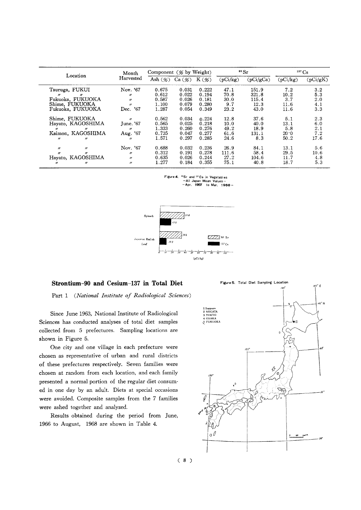| Location                               | Month             | Component $(\mathscr{C}$ by Weight) |        |                  |          | $\rm ^{90}Sr$ | $137 \text{Cs}$ |          |
|----------------------------------------|-------------------|-------------------------------------|--------|------------------|----------|---------------|-----------------|----------|
|                                        | Harvested         | Ash $(\%)$                          | Ca (%) | $K(\mathscr{G})$ | (pCi/kg) | (pCi/gCa)     | (pCi/kg)        | (pCi/gK) |
| Tsuruga, FUKUI                         | Nov. '67          | 0.675                               | 0.031  | 0.222            | 47.1     | 151.9         | 7.2             | 3.2      |
| $\boldsymbol{''}$<br>$\prime$          | $^{\prime\prime}$ | 0.612                               | 0.022  | 0.194            | 70.8     | 321.8         | 10.2            | 5.3      |
| Fukuoka, FUKUOKA                       | $\boldsymbol{u}$  | 0.587                               | 0.026  | 0.181            | 30.0     | 115.4         | 3.7             | 2.0      |
| Shime. FUKUOKA                         | $^{\prime\prime}$ | 1.100                               | 0.079  | 0.280            | 9.7      | 12.3          | 11.6            | 4.1      |
| Fukuoka, FUKUOKA                       | '67<br>Dec.       | 1.287                               | 0.054  | 0.349            | 23.2     | 43.0          | 11.6            | 3.3      |
| Shime, FUKUOKA                         | $^{\prime\prime}$ | 0.562                               | 0.034  | 0.224            | 12.8     | 37.6          | 5.1             | 2.3      |
| Hayato, KAGOSHIMA                      | June. '67         | 0.565                               | 0.025  | 0.218            | 10.0     | 40.0          | 13.1            | 6.0      |
| $^{\prime\prime}$<br>$^{\prime\prime}$ | $^{\prime\prime}$ | 1.333                               | 0.260  | 0.276            | 49.2     | 18.9          | 5.8             | 2.1      |
| Kaimon, KAGOSHIMA                      | Aug. '67          | 0.735                               | 0.047  | 0.277            | 61.6     | 131.1         | 20.0            | 7.2      |
| $^{\prime\prime}$<br>$^{\prime\prime}$ | $^{\prime\prime}$ | 1.571                               | 0.297  | 0.285            | 24.6     | 8.3           | 50.2            | 17.6     |
| $^{\prime\prime}$<br>$^{\prime\prime}$ | Nov. '67          | 0.688                               | 0.032  | 0.236            | 26.9     | 84.1          | 13.1            | 5.6      |
| $^{\prime\prime}$<br>$^{\prime\prime}$ | $^{\prime\prime}$ | 0.312                               | 0.191  | 0.278            | 111.6    | 58.4          | 29.5            | 10.6     |
| Hayato, KAGOSHIMA                      | $^{\prime\prime}$ | 0.635                               | 0.026  | 0.244            | 27.2     | 104.6         | 11.7            | 4.8      |
| "<br>$^{\prime\prime}$                 | $^{\prime\prime}$ | 1.277                               | 0.184  | 0.355            | 75.1     | 40.8          | 18.7            | 5.3      |

Figure 4. <sup>90</sup>Sr and <sup>137</sup>Cs in Vegetables<br>--All Japan Mean Values<br>--Apr. 1967 to Mar. 1968



#### Strontium-90 and Cesium-137 in Total Diet

Part 1 (National Institute of Radiological Sciences)

Since June 1963, National Institute of Radiological Sciences has conducted analyses of total diet samples collected from 5 prefectures. Sampling locations are shown in Figure 5.

One city and one village in each prefecture were chosen as representative of urban and rural districts of these prefectures respectively. Seven families were chosen at random from each location, and each family presented a normal portion of the regular diet consumed in one day by an adult. Diets at special occasions were avoided. Composite samples from the 7 families were ashed together and analyzed.

Results obtained during the period from June, 1966 to August, 1968 are shown in Table 4.

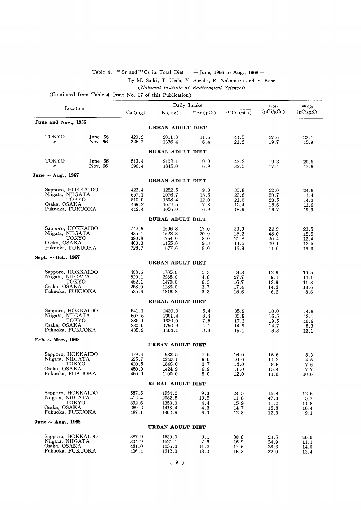#### Table 4.  $^{80}$  Sr and <sup>137</sup>Cs in Total Diet - June, 1966 to Aug., 1968 -

By M. Saiki, T. Ueda, Y. Suzuki, R. Nakamura and E. Kase

(National Institute of Radiological Sciences)

(Continued from Table 4, Issue No. 17 of this Publication)

|                                       |                    |                |                  | Daily Intake  |                       | 90 Sr        | $137 \text{Cs}$ |
|---------------------------------------|--------------------|----------------|------------------|---------------|-----------------------|--------------|-----------------|
| Location                              |                    | $Ca \, (mg)$   | $K$ (mg)         | $90$ Sr (pCi) | $137 \text{Cs}$ (pCi) | (pCi/gCa)    | (pCi/gK)        |
| June and Nov., 1956                   |                    |                |                  |               |                       |              |                 |
|                                       |                    |                | URBAN ADULT DIET |               |                       |              |                 |
| токуо<br>$^{\prime\prime}$            | June 66<br>Nov. 66 | 420.2<br>325.2 | 2011.3<br>1336.4 | 11.6<br>6.4   | 44.5<br>21.2          | 27.6<br>19.7 | 22.1<br>15.9    |
|                                       |                    |                | RURAL ADULT DIET |               |                       |              |                 |
| TOKYO<br>$^{\prime\prime}$            | June 66<br>Nov. 66 | 513.4<br>396.4 | 2102.1<br>1845.0 | 9.9<br>6.9    | 43.2<br>32.5          | 19.3<br>17.4 | 20.6<br>17.6    |
| June $\sim$ Aug., 1967                |                    |                | URBAN ADULT DIET |               |                       |              |                 |
|                                       |                    |                |                  |               |                       |              |                 |
| Sapporo, HOKKAIDO<br>Niigata, NIIGATA |                    | 423.4<br>657.1 | 1252.5<br>2076.7 | 9.3<br>13.6   | 30.8<br>23.6          | 22.0<br>20.7 | 24.6<br>11.4    |
| TOKYO                                 |                    | 510.0          | 1508.4           | 12.0          | 21.0                  | 23.5         | 14.0            |
| Osaka, OSAKA<br>Fukuoka, FUKUOKA      |                    | 469.2<br>412.4 | 1072.5<br>1056.0 | 7.3           | 12.4                  | 15.6         | 11.6            |
|                                       |                    |                | RURAL ADULT DIET | 6.9           | 18.9                  | 16.7         | 19.9            |
|                                       |                    |                |                  |               |                       |              |                 |
| Sapporo, HOKKAIDO<br>Niigata, NIIGATA |                    | 742.6<br>435.1 | 1696.8<br>1628.3 | 17.0<br>20.9  | 39.9<br>25.2          | 22.9<br>48.0 | 23.5<br>15.5    |
| токуо                                 |                    | 390.8          | 1764.0           | 8.0           | 21.8                  | 20.4         | 12.4            |
| Osaka, OSAKA<br>Fukuoka, FUKUOKA      |                    | 463.3<br>728.7 | 1155.8<br>877.6  | 9.3<br>8.0    | 14.5<br>16.9          | 20.1<br>11.0 | 12.5<br>19.3    |
|                                       |                    |                |                  |               |                       |              |                 |
| Sept. $\sim$ Oct., 1967               |                    |                | URBAN ADULT DIET |               |                       |              |                 |
| Sapporo, HOKKAIDO                     |                    | 408.6          | 1785.0           | 5.3           | 18.8                  | 12.9         | 10.5            |
| Niigata, NIIGATA                      |                    | 529.1          | 2288.0           | 4.8           | 27.7                  | 9.1          | 12.1            |
| токуо<br>Osaka, OSAKA                 |                    | 452.1<br>258.0 | 1470.0<br>1286.0 | 6.3<br>3.7    | 16.7<br>17.4          | 13.9<br>14.3 | 11.3<br>13.6    |
| Fukuoka, FUKUOKA                      |                    | 535.6          | 1816.8           | 3.3           | 15.6                  | 6.2          | 8.6             |
|                                       |                    |                | RURAL ADULT DIET |               |                       |              |                 |
| Sapporo, HOKKAIDO                     |                    | 541.1          | 2430.0           | 5.4           | 35.9                  | 10.0         | 14.8            |
| Niigata, NIIGATA<br>токуо             |                    | 507.6          | 2301.4           | 8.4           | 30.9                  | 16.5         | 13.1            |
| Osaka, OSAKA                          |                    | 385.1<br>280.0 | 1639.0<br>1790.9 | 7.5<br>4.1    | 17.3<br>14.9          | 19.5<br>14.7 | 10.6<br>8.3     |
| Fukuoka, FUKUOKA                      |                    | 435.9          | 1464.1           | 3.8           | 19.1                  | 8.8          | 13.1            |
| Feb. $\sim$ Mar., 1968                |                    |                | URBAN ADULT DIET |               |                       |              |                 |
|                                       |                    |                |                  |               |                       |              |                 |
| Sapporo, HOKKAIDO<br>Niigata, NIIGATA |                    | 479.4<br>625.7 | 1933.5<br>2240.1 | 7.5<br>9.0    | 16.0<br>10.0          | 15.6<br>14.2 | 8.3<br>4.5      |
| токуо                                 |                    | 420.5          | 1846.0           | 3.7           | 14.0                  | 8.8          | 7.6             |
| Osaka, OSAKA<br>Fukuoka, FUKUOKA      |                    | 450.0<br>450.9 | 1424.9<br>1200.0 | 6.9<br>5.0    | 11.0<br>12.0          | 15.4<br>11.0 | 7.7<br>10.0     |
|                                       |                    |                | RURAL ADULT DIET |               |                       |              |                 |
| Sapporo, HOKKAIDO                     |                    | 587.5          |                  |               |                       |              |                 |
| Niigata, NIIGATA                      |                    | 412.4          | 1954.2<br>2082.5 | 9.3<br>19.5   | 24.5<br>11.8          | 15.8<br>47.3 | 12.5<br>5.7     |
| токуо                                 |                    | 392.6          | 1353.0           | 4.4           | 15.9                  | 11.2         | 11.8            |
| Osaka, OSAKA<br>Fukuoka, FUKUOKA      |                    | 269.2<br>487.1 | 1418.4<br>1402.9 | 4.3<br>6.0    | 14.7<br>12.8          | 15.8<br>12.3 | 10.4<br>9.1     |
| June $\sim$ Aug., 1968                |                    |                |                  |               |                       |              |                 |
|                                       |                    |                | URBAN ADULT DIET |               |                       |              |                 |
| Sapporo, HOKKAIDO                     |                    | 387.9          | 1539.0           | 9.1           | 30.8                  | 23.5         | 20.0            |
| Niigata, NIIGATA<br>Osaka, OSAKA      |                    | 304.9<br>481.0 | 1521.1<br>1256.0 | 7.6<br>11.2   | 16.9<br>17.6          | 24.9<br>23.3 | 11.1<br>14.0    |
| Fukuoka, FUKUOKA                      |                    | 406.4          | 1212.0           | 13.0          | 16.3                  | 32.0         | 13.4            |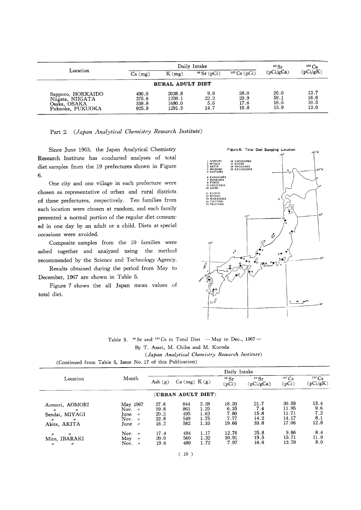|                                                                           |                                  | Daily Intake                         |                            |                              |                              |                              |  |  |
|---------------------------------------------------------------------------|----------------------------------|--------------------------------------|----------------------------|------------------------------|------------------------------|------------------------------|--|--|
| Location                                                                  | $Ca$ (mg)                        | $K$ (mg)                             | $90$ Sr (pCi)              | $137 \text{Cs}$ (pCi)        | (pCi/gCa)                    | (pCi/gK)                     |  |  |
|                                                                           |                                  | RURAL ADULT DIET                     |                            |                              |                              |                              |  |  |
| Sapporo, HOKKAIDO<br>Niigata, NIIGATA<br>Osaka, OSAKA<br>Fukuoka, FUKUOKA | 490.0<br>375.6<br>338.8<br>925.9 | 2038.8<br>1259.1<br>1680.0<br>1291.5 | 9.8<br>22.2<br>5.6<br>14.7 | 28.0<br>20.9<br>17.6<br>16.8 | 20.0<br>59.1<br>16.5<br>15.9 | 13.7<br>16.6<br>10.5<br>13.0 |  |  |

Part 2. (Japan Analytical Chemistry Research Institute)

Since June 1963, the Japan Analytical Chemistry Research Institute has conducted analyses of total diet samples from the 19 prefectures shown in Figure 6.

One city and one village in each prefecture were chosen as representative of urban and rural districts of these prefectures, respectively. Ten families from each location were chosen at random, and each family presented a normal portion of the regular diet consumed in one day by an adult or a child. Diets at special occasions were avoided.

Composite samples from the 10 families were ashed together and analyzed using the method recommended by the Science and Technology Agency.

Results obtained during the period from May to December, 1967 are shown in Table 5.

Figure 7 shows the all Japan mean values of total diet.



Table 5.  $\degree$  Sr and  $\degree$  TCs in Total Diet - May to Dec., 1967 -By T. Asari, M. Chiba and M. Kuroda (Japan Analytical Chemistry Research Institute)

|                                                                                                                                      |                                                                                                               | Daily Intake                         |                                 |                                      |                                        |                                     |                                           |                                   |  |  |
|--------------------------------------------------------------------------------------------------------------------------------------|---------------------------------------------------------------------------------------------------------------|--------------------------------------|---------------------------------|--------------------------------------|----------------------------------------|-------------------------------------|-------------------------------------------|-----------------------------------|--|--|
| Location                                                                                                                             | Month                                                                                                         | Ash $(g)$                            | Ca (mg) K(g)                    |                                      | 90 Sr<br>(pCi)                         | 90 Sr<br>(pCi/gCa)                  | $137 \text{Cs}$<br>(pCi)                  | $137 \text{Cs}$<br>(pCi/gK)       |  |  |
|                                                                                                                                      |                                                                                                               |                                      | (URBAN ADULT DIET)              |                                      |                                        |                                     |                                           |                                   |  |  |
| Aomori, AOMORI<br>$^{\prime\prime}$<br>$^{\prime\prime}$<br>Sendai, MIYAGI<br>$^{\prime\prime}$<br>$^{\prime\prime}$<br>Akita, AKITA | May 1967<br>Nov. $\theta$<br>June<br>$^{\prime\prime}$<br>Nov.<br>$\overline{u}$<br>June<br>$^{\prime\prime}$ | 27.6<br>19.8<br>20.2<br>22.8<br>16.2 | 844<br>861<br>495<br>549<br>582 | 2.28<br>1.25<br>1.63<br>1.75<br>1.33 | 18.30<br>6.35<br>7.80<br>7.77<br>19.66 | 21.7<br>7.4<br>15.8<br>14.2<br>33.8 | 30.59<br>11.95<br>11.71<br>14.17<br>17.06 | 13.4<br>9.6<br>7.2<br>8.1<br>12.8 |  |  |
| $^{\prime\prime}$<br>$^{\prime\prime}$<br>Mito, IBARAKI<br>$^{\prime\prime}$<br>$^{\prime\prime}$                                    | Nov.<br>$^{\prime}$<br>May<br>$^{\prime\prime}$<br>Nov.<br>$^{\prime\prime}$                                  | 17.4<br>20.0<br>19.6                 | 494<br>560<br>480               | 1.17<br>1.32<br>1.72                 | 12.76<br>10.91<br>7.97                 | 25.8<br>19.5<br>16.6                | 9.86<br>15.71<br>13.78                    | 8.4<br>11.9<br>8.0                |  |  |

(Continued from Table 5, Issue No. 17 of this Publication)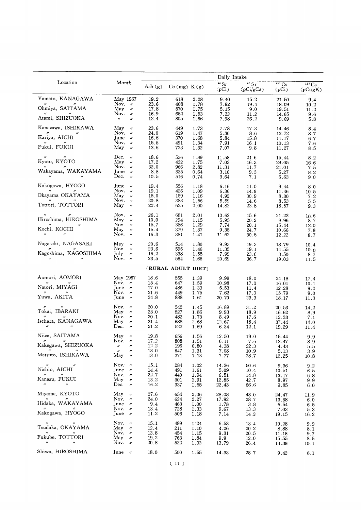|                                                                                                                                                                                  |                                                                                                                                                     |                                          |                                 |                                      | Daily Intake                            |                                      |                                           |                                    |  |  |
|----------------------------------------------------------------------------------------------------------------------------------------------------------------------------------|-----------------------------------------------------------------------------------------------------------------------------------------------------|------------------------------------------|---------------------------------|--------------------------------------|-----------------------------------------|--------------------------------------|-------------------------------------------|------------------------------------|--|--|
| Location                                                                                                                                                                         | Month                                                                                                                                               | Ash $(g)$                                | Ca (mg) K(g)                    |                                      | 90 Sr<br>(pCi)                          | $\overline{^{90}Sr}$<br>(pCi/gCa)    | $137 \text{Cs}$<br>(pCi)                  | $137 \text{Cs}$<br>(pCi/gK)        |  |  |
| Yamato, KANAGAWA<br>$^{\prime\prime}$<br>Ohmiya, SAITAMA<br>Atami, SHIZUOKA                                                                                                      | May 1967<br>Nov. $\nu$<br>May<br>$^{\prime\prime}$<br>Nov. $\nu$<br>$^{\prime\prime}$<br>$^{\prime\prime}$                                          | 19.2<br>23.6<br>17.8<br>16.9<br>12.4     | 618<br>408<br>570<br>652<br>305 | 2.28<br>1.78<br>1.75<br>1.53<br>1.66 | 9.40<br>7.92<br>5.15<br>7.32<br>7.98    | 15.2<br>19.4<br>9.0<br>11.2<br>26.2  | 21.50<br>18.09<br>19.51<br>14.65<br>9.69  | 9.4<br>10.2<br>11.2<br>9.6<br>5.8  |  |  |
| Kanazawa, ISHIKAWA<br>Kariya, AICHI<br>Fukui, FUKUI                                                                                                                              | May<br>$^{\prime\prime}$<br>Nov. $\nu$<br>June $\nu$<br>Nov. $\nu$<br>May $\alpha$                                                                  | 23.6<br>24.0<br>16.6<br>15.5<br>13.6     | 449<br>619<br>370<br>491<br>723 | 1.73<br>1.47<br>1.68<br>1.34<br>1.32 | 7.78<br>5.30<br>5.84<br>7.91<br>7.07    | 17.3<br>8.6<br>15.8<br>16.1<br>9.8   | 14.46<br>12.72<br>11.17<br>10.13<br>11.27 | 8.4<br>8.7<br>6.7<br>7.6<br>8.5    |  |  |
| $^{\prime\prime}$<br>$^{\prime\prime}$<br>Kyoto, KYOTO<br>$\boldsymbol{\theta}$ and $\boldsymbol{\theta}$<br>$^{\prime\prime}$<br>Wakayama, WAKAYAMA<br>$^{\prime\prime}$        | Dec.<br>$^{\prime\prime}$<br>$May \t$<br>Nov. "<br>June $\nu$<br>Dec. $\nu$                                                                         | 18.6<br>17.2<br>32.0<br>8.8<br>10.5      | 536<br>432<br>966<br>335<br>516 | 1.89<br>1.75<br>2.82<br>0.64<br>0.74 | 11.58<br>7.03<br>11.31<br>3.10<br>3.64  | 21.6<br>16.3<br>11.7<br>9.3<br>7.1   | 15.44<br>29.05<br>21.01<br>5.27<br>6.63   | 8.2<br>16.6<br>7.5<br>8.2<br>9.0   |  |  |
| Kakogawa, HYOGO<br>Okayama OKAYAMA<br>Tottori, TOTTORI                                                                                                                           | June $\nu$<br>Nov. $\nu$<br>May<br>$^{\prime\prime}$<br>Nov. $\nu$<br>May<br>$^{\prime\prime}$                                                      | 19.4<br>19.1<br>15.0<br>20.8<br>22.4     | 556<br>426<br>159<br>383<br>625 | 1.18<br>1.09<br>1.16<br>1.56<br>2.00 | 6.16<br>6.36<br>4.92<br>5.59<br>14.82   | 11.0<br>14.9<br>30.9<br>14.6<br>23.8 | 9.44<br>11.46<br>8.30<br>8.53<br>18.57    | 8.0<br>10.5<br>7.2<br>5.5<br>9.3   |  |  |
| $^{\prime\prime}$<br>Hiroshima, HIROSHIMA<br>$^{\prime\prime}$<br>Kochi, KOCHI<br>$^{\prime\prime}$                                                                              | Nov. $\nu$<br>$May \nu$<br>Nov. $\nu$<br>May<br>$^{\prime\prime}$<br>Nov. $\theta$                                                                  | 26.1<br>10.0<br>15.7<br>15.4<br>16.3     | 681<br>294<br>386<br>379<br>381 | 2.01<br>1.15<br>1.29<br>1.37<br>1.41 | 10.62<br>5.95<br>7.74<br>9.35<br>11.62  | 15.6<br>20.2<br>20.1<br>24.7<br>30.5 | 21.23<br>9.96<br>15.44<br>10.66<br>12.22  | 10.6<br>8.7<br>12.0<br>7.8<br>8.7  |  |  |
| Nagasaki, NAGASAKI<br>Kagoshima, KAGOSHIMA<br>$^{\prime\prime}$<br>$^{\prime\prime}$                                                                                             | $May \nu$<br>Nov. $\nu$<br>July $\prime\prime$<br>Nov. $\nu$                                                                                        | 20.6<br>23.6<br>16.2<br>23.5             | 514<br>595<br>338<br>564        | 1.80<br>1.46<br>1.55<br>1.66         | 9.93<br>11.35<br>7.99<br>20.69          | 19.3<br>19.1<br>23.6<br>36.7         | 18.79<br>14.55<br>3.50<br>19.03           | 10.4<br>10.0<br>8.7<br>11.5        |  |  |
|                                                                                                                                                                                  |                                                                                                                                                     |                                          | (RURAL ADULT DIET)              |                                      |                                         |                                      |                                           |                                    |  |  |
| Aomori, AOMORI<br>$^{\prime\prime}$<br>$^{\prime\prime}$<br>Natori, MIYAGI<br>Yuwa, AKITA                                                                                        | May 1967<br>Nov. $\nu$<br>June $\nu$<br>Nov. $\nu$<br>June $\nu$                                                                                    | 18.6<br>15.4<br>17.0<br>21.6<br>24.8     | 555<br>647<br>486<br>449<br>888 | 1.39<br>1.59<br>1.33<br>1.75<br>1.61 | 9.99<br>10.98<br>5.53<br>7.62<br>20.70  | 18.0<br>17.0<br>11.4<br>17.0<br>23.3 | 24.18<br>16.01<br>12.28<br>15.79<br>18.17 | 17.4<br>10.1<br>9.2<br>9.0<br>11.3 |  |  |
| $^{\prime\prime}$<br>Tokai, IBARAKI<br>Isehara, KANAGAWA<br>$\boldsymbol{\mu}$<br>$^{\prime\prime}$                                                                              | Nov. $\nu$<br>May<br>$^{\prime\prime}$<br>Nov. $\nu$<br>May<br>$^{\prime\prime}$<br>Dec.<br>$^{\prime\prime}$                                       | $20.0\,$<br>23.0<br>20.1<br>31.4<br>21.2 | 542<br>527<br>482<br>688<br>522 | 1.45<br>1.86<br>1.73<br>2.68<br>1.69 | 16.89<br>9.93<br>8.49<br>12.67<br>6.34  | 31.2<br>18.9<br>17.6<br>18.4<br>12.1 | 20.53<br>16.62<br>12.33<br>37.44<br>19.29 | 14.2<br>8.9<br>7.1<br>14.0<br>11.4 |  |  |
| Niiza, SAITAMA<br>$^{\prime\prime}$<br>Kakegawa, SHIZUOKA<br>$\mathbf{w}$<br>$^{\prime\prime}$<br>Matsuto, ISHIKAWA                                                              | $May \t m$<br>Nov. $\theta$<br>$\prime\prime$<br>$^{\prime\prime}$<br>$^{\prime\prime}$<br>$\boldsymbol{\prime}$<br>May<br>$\overline{\phantom{a}}$ | 19.8<br>17.2<br>12.2<br>13.0<br>13.0     | 656<br>808<br>196<br>647<br>271 | 1.56<br>1.51<br>0.80<br>1.31<br>1.13 | 12.50<br>6.11<br>4.38<br>7.08<br>7.77   | 19.0<br>7.6<br>22.3<br>10.9<br>28.7  | 15.44<br>13.47<br>4.43<br>5.13<br>12.25   | 9.9<br>8.9<br>5.5<br>3.9<br>10.8   |  |  |
| $^{\prime\prime}$<br>$^{\prime\prime}$<br>Nishio, AICHI<br>$^{\prime\prime}$<br>$\overline{\mathscr{U}}$<br>Kanazu, FUKUI<br>$^{\prime\prime}$<br>$^{\prime\prime}$              | Nov. $\nu$<br>June $\nu$<br>Nov. $\nu$<br>May<br>$\prime\prime$<br>Dec. $\theta$                                                                    | 15.1<br>14.4<br>22.7<br>13.2<br>16.2     | 284<br>491<br>440<br>301<br>337 | 1.02<br>1.61<br>1.94<br>1.91<br>1.65 | 14.36<br>5.09<br>6.51<br>12.85<br>22.43 | 50.6<br>10.4<br>14.8<br>42.7<br>66.6 | 9.36<br>10.51<br>13.17<br>8.97<br>9.85    | 9.2<br>6.5<br>6.8<br>9.9<br>6.0    |  |  |
| Miyama, KYOTO<br>$^{\prime\prime}$<br>$^{\prime\prime}$<br>Hidaka, WAKAYAMA<br>$\boldsymbol{\theta}$ and the set of $\boldsymbol{\theta}$<br>$\overline{\mu}$<br>Kakogawa, HYOGO | May<br>$^{\prime\prime}$<br>Nov. $\nu$<br>June $\nu$<br>Nov. $\nu$<br>June $\nu$                                                                    | 27.6<br>24.0<br>9.4<br>13.4<br>11.2      | 654<br>624<br>463<br>728<br>503 | 2.06<br>2.27<br>1.00<br>1.33<br>1.18 | 28.08<br>17.92<br>1.78<br>9.67<br>7.14  | 43.0<br>28.7<br>3.8<br>13.3<br>14.2  | 24.47<br>13.68<br>6.54<br>7.03<br>19.15   | 11.9<br>6.0<br>6.5<br>5.3<br>16.2  |  |  |
| $\prime\prime$<br>$^{\prime\prime}$<br>Tsudaka, OKAYAMA<br>$^{\prime\prime}$<br>Fukube, TOTTORI<br>$^{\prime\prime}$<br>$^{\prime\prime}$                                        | Nov. $\nu$<br>May $\nu$<br>Nov. $\alpha$<br>May<br>$^{\prime\prime}$<br>Nov. $\theta$                                                               | 15.1<br>12.4<br>13.8<br>19.2<br>20.8     | 489<br>211<br>454<br>763<br>522 | 1.24<br>1.10<br>1.15<br>1.84<br>1.32 | 6.53<br>4.26<br>9.31<br>9.9<br>13.79    | 13.4<br>20.2<br>20.5<br>12.0<br>26.4 | 19.28<br>8.88<br>11.18<br>15.55<br>13.38  | 9.9<br>8.1<br>9.7<br>8.5<br>10.1   |  |  |
| Shiwa, HIROSHIMA                                                                                                                                                                 | June $\nu$                                                                                                                                          | 18.0                                     | 500                             | 1.55                                 | 14.33                                   | 28.7                                 | 9.42                                      | 6.1                                |  |  |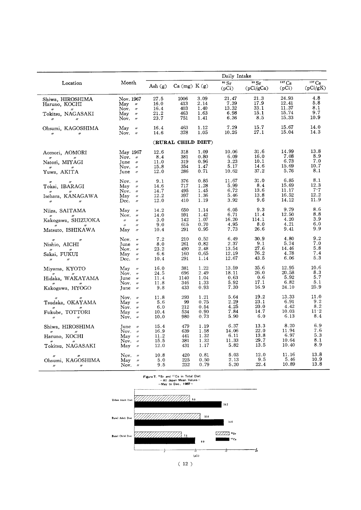|                                                                                                        |                                                                                                                                                          |                                      |                                  |                                      | Daily Intake                            |                                      |                                          |                                           |
|--------------------------------------------------------------------------------------------------------|----------------------------------------------------------------------------------------------------------------------------------------------------------|--------------------------------------|----------------------------------|--------------------------------------|-----------------------------------------|--------------------------------------|------------------------------------------|-------------------------------------------|
| Location                                                                                               | Month                                                                                                                                                    | Ash $(g)$                            | Ca (mg) K(g)                     |                                      | 90 Sr<br>(pCi)                          | 90 Sr<br>(pCi/gCa)                   | $\overline{137}$ Cs<br>(pCi)             | $\overline{137}$ Cs<br>(pCi/gK)           |
| Shiwa, HIROSHIMA<br>Haruno, KOCHI                                                                      | Nov. 1967<br>May $\nu$                                                                                                                                   | 27.5<br>16.0                         | 1006<br>413                      | 3.09<br>2.14                         | 21.47<br>7.39                           | 21.3<br>17.9<br>33.1                 | 24.93<br>12.41<br>11.37                  | 4.8<br>5.8<br>8.1                         |
| Tokitsu, NAGASAKI<br>$\boldsymbol{\prime\prime}$<br>$\boldsymbol{''}$                                  | Nov. $\nu$<br>May $\nu$<br>Nov. $\nu$                                                                                                                    | 16.4<br>$21.2\,$<br>23.7             | 403<br>463<br>751                | 1.40<br>1.63<br>1.41                 | 13.32<br>6.98<br>6.36                   | 15.1<br>8.5                          | 15.74<br>15.33                           | 9.7<br>10.9                               |
| Ohsumi, KAGOSHIMA<br>$^{\prime\prime}$<br>$^{\prime\prime}$                                            | May<br>$\boldsymbol{\prime\prime}$<br>Nov. $\nu$                                                                                                         | 16.4<br>14.6                         | 463<br>378                       | 1.12<br>1.05                         | 7.29<br>10.26                           | 15.7<br>27.1                         | 15.67<br>15.04                           | 14.0<br>14.3                              |
|                                                                                                        |                                                                                                                                                          |                                      | (RURAL CHILD DIET)               |                                      |                                         |                                      |                                          |                                           |
| Aomori, AOMORI<br>$^{\prime\prime}$<br>$\prime\prime$<br>Natori, MIYAGI<br>Yuwa, AKITA                 | May 1967<br>Nov. $\nu$<br>June $\nu$<br>Nov. $\nu$<br>June $\nu$                                                                                         | 12.6<br>8.4<br>11.0<br>15.8<br>12.0  | 318<br>381<br>319<br>354<br>286  | 1.09<br>0.80<br>0.96<br>1.47<br>0.71 | 10.06<br>6.09<br>3.23<br>5.17<br>10.62  | 31.6<br>16.0<br>10.1<br>14.6<br>37.2 | 14.99<br>7.08<br>6.73<br>15.69<br>5.76   | 13.8<br>8.9<br>7.0<br>10.7<br>8.1         |
| $^{\prime\prime}$<br>$^{\prime\prime}$<br>Tokai, IBARAGI<br>Isehara, KANAGAWA<br>$\boldsymbol{\prime}$ | Nov. $\alpha$<br>May<br>$^{\prime\prime}$<br>Nov. $\nu$<br>May<br>$^{\prime\prime}$<br>Dec.<br>$^{\prime\prime}$                                         | 9.1<br>14.6<br>14.7<br>12.2<br>12.0  | 376<br>717<br>495<br>397<br>410  | 0.85<br>1.28<br>1.45<br>1.36<br>1.19 | 11.67<br>5.99<br>6.72<br>5.46<br>3.92   | 31.0<br>8.4<br>13.6<br>13.8<br>9.6   | 6.85<br>15.69<br>11.17<br>16.52<br>14.12 | 8.1<br>12.3<br>7.7<br>12.2<br>11.9        |
| Niiza, SAITAMA<br>Kakogawa, SHIZUOKA<br>Matsuto, ISHIKAWA                                              | May<br>$\boldsymbol{\prime\prime}$<br>Nov. $\prime\prime$<br>$\theta$<br>$^{\prime\prime}$<br>$\overline{\phantom{a}}$<br>$^{\prime\prime}$<br>May $\nu$ | 14.2<br>14.0<br>3.0<br>9.0<br>10.4   | 650<br>591<br>142<br>615<br>291  | 1.14<br>1.42<br>1.07<br>0.70<br>0.95 | 6.05<br>6.71<br>16.20<br>4.95<br>7.73   | 9.3<br>11.4<br>114.1<br>8.0<br>26.6  | 9.79<br>12.50<br>4.20<br>4.21<br>9.41    | 8.6<br>8.8<br>3.9<br>6.0<br>9.9           |
| Nishio, AICHI<br>Sakai, FUKUI<br>$^{\prime\prime}$                                                     | Nov. $\theta$<br>$June \t$<br>Nov.<br>$^{\prime\prime}$<br>May<br>$^{\prime\prime}$<br>Dec.<br>$^{\prime\prime}$                                         | 7.2<br>8.0<br>23.2<br>6.6<br>10.4    | 210<br>261<br>490<br>160<br>291  | 0.52<br>0.82<br>2.48<br>0.65<br>1.14 | 6.49<br>2.37<br>13.54<br>12.19<br>12.67 | 30.9<br>9.1<br>27.6<br>76.2<br>43.5  | 4.80<br>5.74<br>14.46<br>4.78<br>6.06    | 9.2<br>7.0<br>5.8<br>7.4<br>5.3           |
| Miyama, KYOTO<br>$\mathbf{v}$<br>Hidaka, WAKAYAMA<br>Kakogawa, HYOGO                                   | May<br>$\prime\prime$<br>Nov.<br>$^{\prime\prime}$<br>June $\nu$<br>Nov. $\nu$<br>June<br>$^{\prime\prime}$                                              | 16.0<br>24.5<br>11.4<br>11.8<br>9.8  | 381<br>696<br>1140<br>346<br>433 | 1.22<br>2.49<br>1.04<br>1.33<br>0.93 | 13.59<br>18.11<br>0.63<br>5.92<br>7.30  | 35.6<br>26.0<br>0.6<br>17.1<br>16.9  | 12.95<br>20.58<br>5.92<br>6.82<br>24.10  | 10.6<br>8.3<br>5.7<br>5.1<br>25.9         |
| $^{\prime\prime}$<br>Tsudaka, OKAYAMA<br>Fukube, TOTTORI<br>$\prime\prime$<br>$^{\prime\prime}$        | Nov.<br>$^{\prime\prime}$<br>May<br>$^{\prime\prime}$<br>Nov. $\nu$<br>May<br>$^{\prime\prime}$<br>Nov. $\nu$                                            | 11.8<br>5.6<br>6.0<br>10.4<br>10.0   | 293<br>99<br>212<br>534<br>980   | 1.21<br>0.75<br>0.54<br>0.90<br>0.73 | 5.64<br>2.29<br>4.25<br>7.84<br>5.90    | 19.2<br>23.1<br>20.0<br>14.7<br>6.0  | 13.33<br>6.91<br>4.42<br>10.03<br>6.13   | 11.0<br>9.2<br>8.2<br>$11 \cdot 2$<br>8.4 |
| Shiwa, HIROSHIMA<br>$^{\prime\prime}$<br>Haruno, KOCHI<br>Tokitsu, NAGASAKI                            | June<br>$\prime\prime$<br>Nov. $\nu$<br>May $\nu$<br>Nov. $\nu$<br>May<br>$^{\prime\prime}$                                                              | 15.4<br>16.9<br>11.2<br>15.5<br>12.0 | 479<br>639<br>441<br>381<br>431  | 1.19<br>1.58<br>1.32<br>1.32<br>1.17 | 6.37<br>14.06<br>6.11<br>11.33<br>5.82  | 13.3<br>22.0<br>13.8<br>29.7<br>13.5 | 8.20<br>11.94<br>6.97<br>10.64<br>10.40  | 6.9<br>7.6<br>5.3<br>8.1<br>8.9           |
| $\theta$<br>Ohsumi, KAGOSHIMA<br>$\boldsymbol{\prime\prime}$<br>$\prime\prime$                         | Nov.<br>$^{\prime\prime}$<br>May<br>$^{\prime\prime}$<br>Nov. $\nu$                                                                                      | 10.8<br>5.0<br>9.5                   | 420<br>225<br>232                | 0.81<br>0.50<br>0.79                 | 5.03<br>2.13<br>5.20                    | 12.0<br>9.5<br>22.4                  | 11.16<br>5.46<br>10.89                   | 13.8<br>10.9<br>13.8                      |

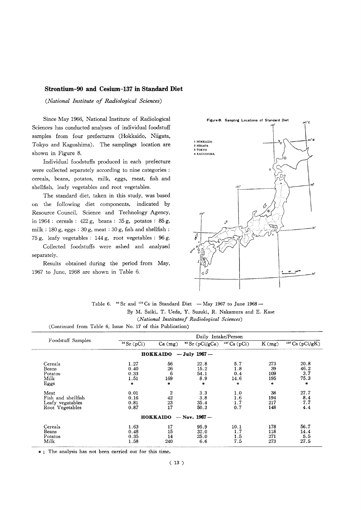#### Strontium-90 and Cesium-137 in Standard Diet

(National Institute of Radiological Sciences)

Since May 1966, National Institute of Radiological Sciences has conducted analyses of individual foodstuff samples from four prefectures (Hokkaido, Niigata, Tokyo and Kagoshima). The samplings location are shown in Figure 8.

Individual foodstuffs produced in each prefecture were collected separately according to nine categories : cereals, beans, potatos, milk, eggs, meat, fish and shellfish, leafy vegetables and root vegetables.

The standard diet, taken in this study, was based on the following diet components, indicated by Resource Council, Science and Technology Agency, in 1964 : cereals :  $422 g$ , beans :  $35 g$ , potatos :  $85 g$ , milk : 180 g, eggs : 30 g, meat : 30 g, fish and shellfish : 75 g, leafy vegetables : 144 g, root vegetables : 96 g.

Collected foodstuffs were ashed and analyzed separately.

Results obtained during the period from May, 1967 to June, 1968 are shown in Table 6.



Table 6.  $\text{ }^{90}$  Sr and  $\text{ }^{137}$ Cs in Standard Diet - May 1967 to June 1968 -By M. Saiki, T. Ueda, Y. Suzuki, R. Nakamura and E. Kase (National Instituteof Radiological Sciences) (Continued from Table 6, Issue No. 17 of this Publication)

|                    | Daily Intake/Person |                 |                              |                       |        |                          |  |  |  |
|--------------------|---------------------|-----------------|------------------------------|-----------------------|--------|--------------------------|--|--|--|
| Foodstuff Samples  | $90$ Sr (pCi)       | Ca (mg)         | <sup>90</sup> Sr $(pCi/gCa)$ | $137 \text{Cs} (pCi)$ | K(mg)  | $137 \text{Cs}$ (pCi/gK) |  |  |  |
|                    |                     | <b>HOKKAIDO</b> | $-$ July 1967 $-$            |                       |        |                          |  |  |  |
| Cereals            | 1.27                | 56              | 22.8                         | 5.7                   | 273    | 20.8                     |  |  |  |
| Beans              | 0.40                | 26              | 15.2                         | 1.8                   | 39     | 46.2                     |  |  |  |
| Potatos            | 0.33                | 6               | 54.1                         | 0.4                   | 109    | 3.7                      |  |  |  |
| Milk               | 1.51                | 169             | 8.9                          | 14.6                  | 195    | 75.3                     |  |  |  |
| Eggs               | $\ast$              | *               | $\ast$                       | $\ast$                | $\ast$ | $\star$                  |  |  |  |
| Meat               | 0.01                | 2               | 3.3                          | 1.0                   | 38     | 27.7                     |  |  |  |
| Fish and shellfish | 0.16                | 42              | 3.8                          | 1.6                   | 194    | 8.4                      |  |  |  |
| Leafy vegatables   | 0.81                | 23              | 35.4                         | 1.7                   | 217    | 7.7                      |  |  |  |
| Root Vegetables    | 0.87                | 17              | 50.3                         | 0.7                   | 148    | 4.4                      |  |  |  |
|                    |                     |                 | $HOKKAIDO - Nov. 1967 -$     |                       |        |                          |  |  |  |
| Cereals            | 1.63                | 17              | 95.9                         | 10.1                  | 178    | 56.7                     |  |  |  |
| Beans              | 0.48                | 15              | 32.0                         | 1.7                   | 118    | 14.4                     |  |  |  |
| Potatos            | 0.35                | 14              | 25.0                         | 1.5                   | 271    | 5.5                      |  |  |  |
| Milk               | 1.58                | 240             | 6.6                          | 7.5                   | 273    | 27.5                     |  |  |  |

\*; The analysis has not been carried out for this time.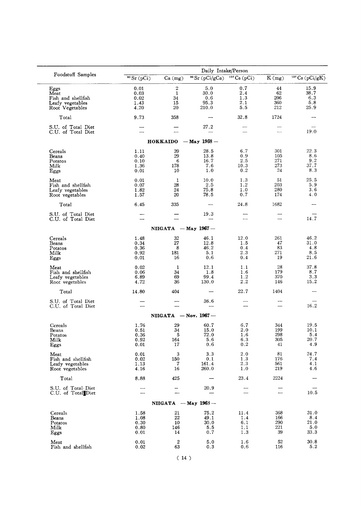|                                                                           | Daily Intake/Person                  |                                     |                                     |                                  |                                |                                    |  |  |
|---------------------------------------------------------------------------|--------------------------------------|-------------------------------------|-------------------------------------|----------------------------------|--------------------------------|------------------------------------|--|--|
| Foodstuff Samples                                                         | $\sqrt{8r(pC)}$                      | $Ca$ (mg)                           | $\sqrt[90]{\text{Sr (pCi/gCa)}}$    | $\overline{^{137}Cs}$ (pCi)      | $\overline{K(mg)}$             | $137 \text{Cs}$ (pCi/gK)           |  |  |
| Eggs<br>Meat<br>Fish and shellfish<br>Leafy vegetables<br>Root Vegetables | 0.01<br>0.03<br>0.02<br>1.43<br>4.20 | 2<br>$\mathbf{1}$<br>34<br>15<br>20 | 5.0<br>30.0<br>0.6<br>95.3<br>210.0 | 0.7<br>2.4<br>1.3<br>2.1<br>5.5  | 44<br>62<br>206<br>360<br>212  | 15.9<br>38.7<br>6.3<br>5.8<br>25.9 |  |  |
| Total                                                                     | 9.73                                 | 358                                 | $\overline{\phantom{0}}$            | 32.8                             | 1724                           |                                    |  |  |
| S.U. of Total Diet<br>C.U. of Total Diet                                  |                                      |                                     | 27.2                                |                                  | $\overline{\phantom{a}}$       | 19.0                               |  |  |
|                                                                           |                                      | HOKKAIDO                            | $-$ May 1968 $-$                    |                                  |                                |                                    |  |  |
| Cereals<br>Beans<br>Potatos<br>Milk<br>Eggs                               | 1.11<br>0.40<br>0.10<br>1.36<br>0.01 | 39<br>29<br>6<br>178<br>10          | 28.5<br>13.8<br>16.7<br>7.6<br>1.0  | 6.7<br>0.9<br>2.5<br>10.3<br>0.2 | 301<br>105<br>271<br>273<br>24 | 22.3<br>8.6<br>9.2<br>37.7<br>8.3  |  |  |
| Meat<br>Fish and shellfish<br>Leafy vegetables<br>Root vegetables         | 0.01<br>0.07<br>1.82<br>1.57         | 1<br>28<br>24<br>20                 | 10.0<br>2.5<br>75.8<br>78.5         | 1.3<br>1.2<br>1.0<br>0.7         | 51<br>203<br>280<br>174        | 25.5<br>5.9<br>3.6<br>4.0          |  |  |
| Total                                                                     | 6.45                                 | 335                                 | $\overline{\phantom{0}}$            | 24.8                             | 1682                           |                                    |  |  |
| S.U. of Total Diet<br>C.U. of Total Diet                                  | $\overline{\phantom{0}}$             |                                     | 19.3                                | $\overline{\phantom{a}}$         | $\overline{\phantom{a}}$       | 14.7                               |  |  |
|                                                                           |                                      | $NIIGATA$ - May 1967 -              |                                     |                                  |                                |                                    |  |  |
| Cereals<br>Beans<br>Potatos<br>Milk<br>Eggs                               | 1.48<br>0.34<br>0.36<br>0.92<br>0.01 | 32<br>$27\,$<br>8<br>181<br>16      | 46.1<br>12.8<br>46.2<br>5.1<br>0.6  | 12.0<br>1.5<br>0.4<br>2.3<br>0.4 | 261<br>47<br>83<br>271<br>19   | 46.2<br>31.0<br>4.8<br>8.5<br>21.6 |  |  |
| Meat<br>Fish and shellfish<br>Leafy vegetables<br>Root vegetables         | 0.02<br>0.06<br>6.89<br>4.72         | 1<br>34<br>69<br>36                 | 12.1<br>1.8<br>99.4<br>130.0        | 1.1<br>1.6<br>1.2<br>2.2         | 28<br>179<br>370<br>146        | 37.8<br>8.7<br>3.3<br>15.2         |  |  |
| Total                                                                     | 14.80                                | 404                                 |                                     | 22.7                             | 1404                           |                                    |  |  |
| S.U. of Total Diet<br>C.U. of Total Diet                                  | $\overline{\phantom{a}}$             |                                     | 36.6                                |                                  |                                | 16.2                               |  |  |
|                                                                           |                                      |                                     | NIIGATA $-$ Nov. 1967 $-$           |                                  |                                |                                    |  |  |
| Cereals<br>Beans<br>Potatos<br>Milk<br>Eggs                               | 1.76<br>0.51<br>0.36<br>0.92<br>0.01 | 29<br>34<br>5<br>164<br>17          | 60.7<br>15.0<br>72.0<br>5.6<br>0.6  | 6.7<br>2.0<br>1.6<br>6.3<br>0.2  | 344<br>199<br>298<br>305<br>41 | 19.5<br>10.1<br>5.4<br>20.7<br>4.9 |  |  |
| Meat<br>Fish and shellfish<br>Leafy vegetables<br>Root vegetables         | 0.01<br>0.02<br>1.13<br>4.16         | 3<br>150<br>7<br>16                 | 3.3<br>0.1<br>161.4<br>260.0        | 2.0<br>1.3<br>2.3<br>1.0         | 81<br>176<br>561<br>219        | 24.7<br>7.4<br>4.1<br>4.6          |  |  |
| Total                                                                     | 8.88                                 | 425                                 |                                     | 23.4                             | 2224                           |                                    |  |  |
| S.U. of Total Diet<br>C.U. of Total Diet                                  |                                      |                                     | 20.9                                |                                  | $\overline{\phantom{0}}$       | 10.5                               |  |  |
|                                                                           |                                      |                                     | NIIGATA $-May$ 1963 $-$             |                                  |                                |                                    |  |  |
| Cereals<br>Beans<br>Potatos<br>Milk<br>Eggs                               | 1.58<br>1.08<br>0.30<br>0.80<br>0.01 | 21<br>22<br>10<br>146<br>14         | 75.2<br>49.1<br>30.0<br>5.5<br>0.7  | 11.4<br>1.4<br>6.1<br>1.1<br>1.3 | 368<br>166<br>290<br>221<br>39 | 31.0<br>8.4<br>21.0<br>5.0<br>33.3 |  |  |
| Meat<br>Fish and shellfish                                                | 0.01<br>0.02                         | $\boldsymbol{2}$<br>63              | 5.0<br>0.3                          | 1.6<br>0.6                       | 52<br>116                      | 30.8<br>5.2                        |  |  |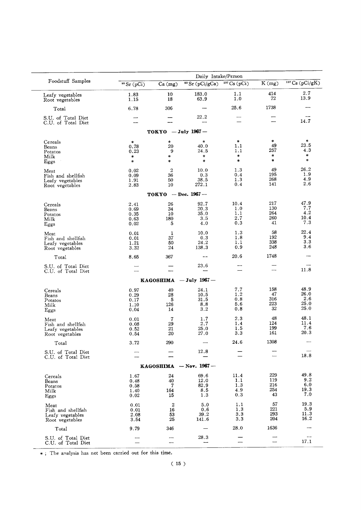|                                                                   |                                      |                                      | Daily Intake/Person                |                                  |                                |                                     |
|-------------------------------------------------------------------|--------------------------------------|--------------------------------------|------------------------------------|----------------------------------|--------------------------------|-------------------------------------|
| Foodstuff Samples                                                 | $\sqrt[90]{\text{Sr (pCi)}}$         | Ca (mg)                              | $\sqrt{90}$ Sr (pCi/gCa)           | $137 \text{Cs} (pCi)$            | K(mg)                          | $137 \text{Cs}$ (pCi/gK)            |
| Leafy vegetables<br>Root vegetables                               | 1.83<br>1.15                         | 10<br>18                             | 183.0<br>63.9                      | 1.1<br>1.0                       | 414<br>72                      | 2.7<br>13.9                         |
| Total                                                             | 6.78                                 | 306                                  |                                    | 25.6                             | 1738                           |                                     |
| S.U. of Total Diet<br>C.U. of Total Diet                          |                                      |                                      | 22.2                               | ▃                                | --                             | 14.7                                |
|                                                                   |                                      | $TOKYO$ - July 1967-                 |                                    |                                  |                                |                                     |
| Cereals<br>Beans                                                  | *<br>0.78                            | $\ast$<br>20                         | $\ast$<br>40.0                     | $\star$<br>1.1<br>1.1            | 米<br>49<br>257                 | $\ast$<br>23.5<br>4.3               |
| Potatos<br>Milk<br>Eggs                                           | 0.23<br>$\ast$<br>$\ast$             | 9<br>$\ast$<br>$\ast$                | 24.5<br>$\ast$<br>$\ast$           | $\ast$<br>$\ast$                 | $\ast$<br>*                    | $\star$<br>$\ast$                   |
| Meat<br>Fish and shellfish                                        | 0.02<br>0.09                         | $\boldsymbol{2}$<br>36               | 10.0<br>0.3                        | 1.3<br>0.4                       | 49<br>195                      | 26.2<br>1.9                         |
| Leafy vegetables<br>Root vegetables                               | 1.91<br>2.83                         | 50<br>10                             | 38.5<br>272.1                      | 1.3<br>0.4                       | 268<br>141                     | 4.9<br>2.6                          |
|                                                                   |                                      | TOKYO $-$ Dec. 1967 $-$              |                                    |                                  |                                |                                     |
| Cereals<br>Beans<br>Potatos<br>Milk<br>Eggs                       | 2.41<br>0.69<br>0.35<br>0.63<br>0.02 | 26<br>34<br>10<br>180<br>5           | 92.7<br>20.3<br>35.0<br>3.5<br>4.0 | 10.4<br>1.0<br>1.1<br>2.7<br>0.3 | 217<br>130<br>264<br>260<br>41 | 47.9<br>7.7<br>4.2<br>10.4<br>7.3   |
| Meat<br>Fish and shellfish<br>Leafy vegetables<br>Root vegetables | 0.01<br>0.01<br>1.21<br>3.32         | 1<br>37<br>50<br>24                  | 10.0<br>0.3<br>24.2<br>138.3       | 1.3<br>1.8<br>1.1<br>0.9         | 58<br>192<br>338<br>248        | 22.4<br>9.4<br>3.3<br>3.6           |
| Total                                                             | 8.65                                 | 367                                  |                                    | 20.6                             | 1748                           |                                     |
| S.U. of Total Diet<br>C.U. of Total Diet                          |                                      |                                      | 23.6                               |                                  | —                              | 11.8                                |
|                                                                   |                                      | KAGOSHIMA                            | $-$ July 1967 $-$                  |                                  |                                |                                     |
| Cereals<br>Beans<br>Potatos<br>Milk<br>Eggs                       | 0.97<br>0.29<br>0.17<br>1.10<br>0.04 | 40<br>28<br>5<br>126<br>14           | 24.1<br>10.5<br>31.5<br>8.8<br>3.2 | 7.7<br>1.2<br>0.8<br>5.6<br>0.8  | 158<br>47<br>316<br>223<br>32  | 48.9<br>26.0<br>2.6<br>25.0<br>25.0 |
| Meat<br>Fish and shellfish<br>Leafy vegetables<br>Root vegetables | 0.01<br>0.08<br>0.52<br>0.54         | 7<br>29<br>21<br>20                  | 1.7<br>2.7<br>25.0<br>27.0         | 2.3<br>1.4<br>1.5<br>3.3         | 48<br>124<br>199<br>161        | 48.1<br>11.4<br>7.6<br>20.3         |
| Total                                                             | 3.72                                 | 290                                  |                                    | $\bf 24.6$                       | 1308                           |                                     |
| S.U. of Total Diet<br>C.U. of Total Diet                          |                                      |                                      | 12.8                               |                                  |                                | 18.8                                |
|                                                                   |                                      |                                      | KAGOSHIMA $-$ Nov. 1967 –          |                                  |                                |                                     |
| Cereals<br>Beans<br>Potatos<br>Milk<br>Eggs                       | 1.67<br>0.48<br>0.58<br>1.40<br>0.02 | 24<br>40<br>$\mathbf 7$<br>164<br>15 | 69.6<br>12.0<br>82.9<br>8.5<br>1.3 | 11.4<br>1.1<br>1.3<br>4.9<br>0.3 | 229<br>119<br>216<br>254<br>43 | 49.8<br>9.2<br>6.0<br>19.3<br>7.0   |
| Meat<br>Fish and shellfish<br>Leafy vegetables<br>Root vegetables | 0.01<br>0.01<br>2.08<br>3.54         | $\boldsymbol{2}$<br>16<br>53<br>25   | 5.0<br>0.6<br>39.2<br>141.6        | 1.1<br>1.3<br>3.3<br>3.3         | 57<br>221<br>293<br>204        | 19.3<br>5.9<br>11.3<br>16.2         |
| Total<br>S.U. of Total Diet                                       | 9.79                                 | 346                                  | 28.3                               | 28.0                             | 1636                           |                                     |
| C.U. of Total Diet                                                |                                      | -                                    |                                    |                                  |                                | 17.1                                |

\*; The analysis has not been carried out for this time.